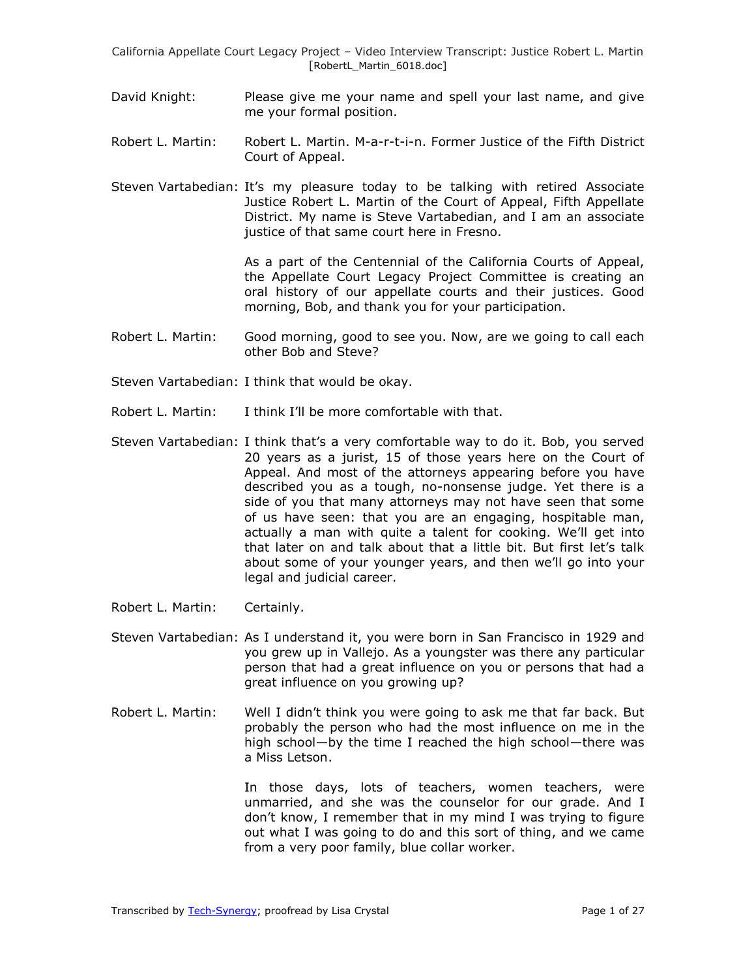- David Knight: Please give me your name and spell your last name, and give me your formal position.
- Robert L. Martin: Robert L. Martin. M-a-r-t-i-n. Former Justice of the Fifth District Court of Appeal.
- Steven Vartabedian: It's my pleasure today to be talking with retired Associate Justice Robert L. Martin of the Court of Appeal, Fifth Appellate District. My name is Steve Vartabedian, and I am an associate justice of that same court here in Fresno.

As a part of the Centennial of the California Courts of Appeal, the Appellate Court Legacy Project Committee is creating an oral history of our appellate courts and their justices. Good morning, Bob, and thank you for your participation.

- Robert L. Martin: Good morning, good to see you. Now, are we going to call each other Bob and Steve?
- Steven Vartabedian: I think that would be okay.
- Robert L. Martin: I think I'll be more comfortable with that.
- Steven Vartabedian: I think that's a very comfortable way to do it. Bob, you served 20 years as a jurist, 15 of those years here on the Court of Appeal. And most of the attorneys appearing before you have described you as a tough, no-nonsense judge. Yet there is a side of you that many attorneys may not have seen that some of us have seen: that you are an engaging, hospitable man, actually a man with quite a talent for cooking. We'll get into that later on and talk about that a little bit. But first let's talk about some of your younger years, and then we'll go into your legal and judicial career.
- Robert L. Martin: Certainly.
- Steven Vartabedian: As I understand it, you were born in San Francisco in 1929 and you grew up in Vallejo. As a youngster was there any particular person that had a great influence on you or persons that had a great influence on you growing up?
- Robert L. Martin: Well I didn't think you were going to ask me that far back. But probably the person who had the most influence on me in the high school—by the time I reached the high school—there was a Miss Letson.

In those days, lots of teachers, women teachers, were unmarried, and she was the counselor for our grade. And I don't know, I remember that in my mind I was trying to figure out what I was going to do and this sort of thing, and we came from a very poor family, blue collar worker.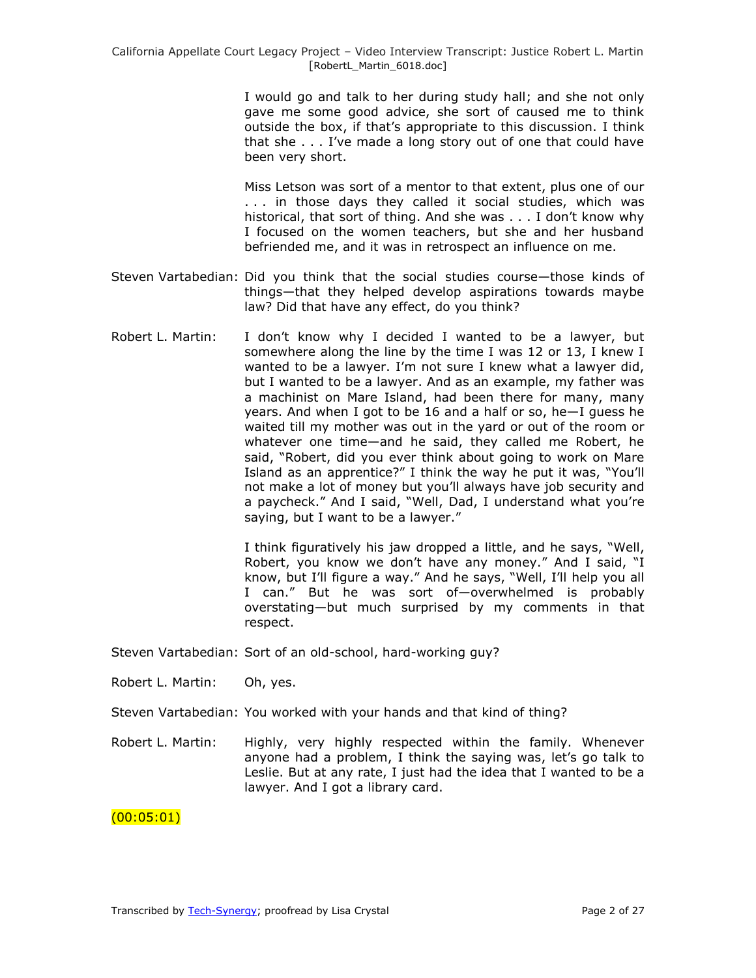I would go and talk to her during study hall; and she not only gave me some good advice, she sort of caused me to think outside the box, if that's appropriate to this discussion. I think that she . . . I've made a long story out of one that could have been very short.

Miss Letson was sort of a mentor to that extent, plus one of our . . . in those days they called it social studies, which was historical, that sort of thing. And she was . . . I don't know why I focused on the women teachers, but she and her husband befriended me, and it was in retrospect an influence on me.

- Steven Vartabedian: Did you think that the social studies course—those kinds of things—that they helped develop aspirations towards maybe law? Did that have any effect, do you think?
- Robert L. Martin: I don't know why I decided I wanted to be a lawyer, but somewhere along the line by the time I was 12 or 13, I knew I wanted to be a lawyer. I'm not sure I knew what a lawyer did, but I wanted to be a lawyer. And as an example, my father was a machinist on Mare Island, had been there for many, many years. And when I got to be 16 and a half or so, he—I guess he waited till my mother was out in the yard or out of the room or whatever one time—and he said, they called me Robert, he said, "Robert, did you ever think about going to work on Mare Island as an apprentice?" I think the way he put it was, "You'll not make a lot of money but you'll always have job security and a paycheck." And I said, "Well, Dad, I understand what you're saying, but I want to be a lawyer."

I think figuratively his jaw dropped a little, and he says, "Well, Robert, you know we don't have any money." And I said, "I know, but I'll figure a way." And he says, "Well, I'll help you all I can." But he was sort of-overwhelmed is probably overstating—but much surprised by my comments in that respect.

Steven Vartabedian: Sort of an old-school, hard-working guy?

- Robert L. Martin: Oh, yes.
- Steven Vartabedian: You worked with your hands and that kind of thing?
- Robert L. Martin: Highly, very highly respected within the family. Whenever anyone had a problem, I think the saying was, let's go talk to Leslie. But at any rate, I just had the idea that I wanted to be a lawyer. And I got a library card.

### $(00:05:01)$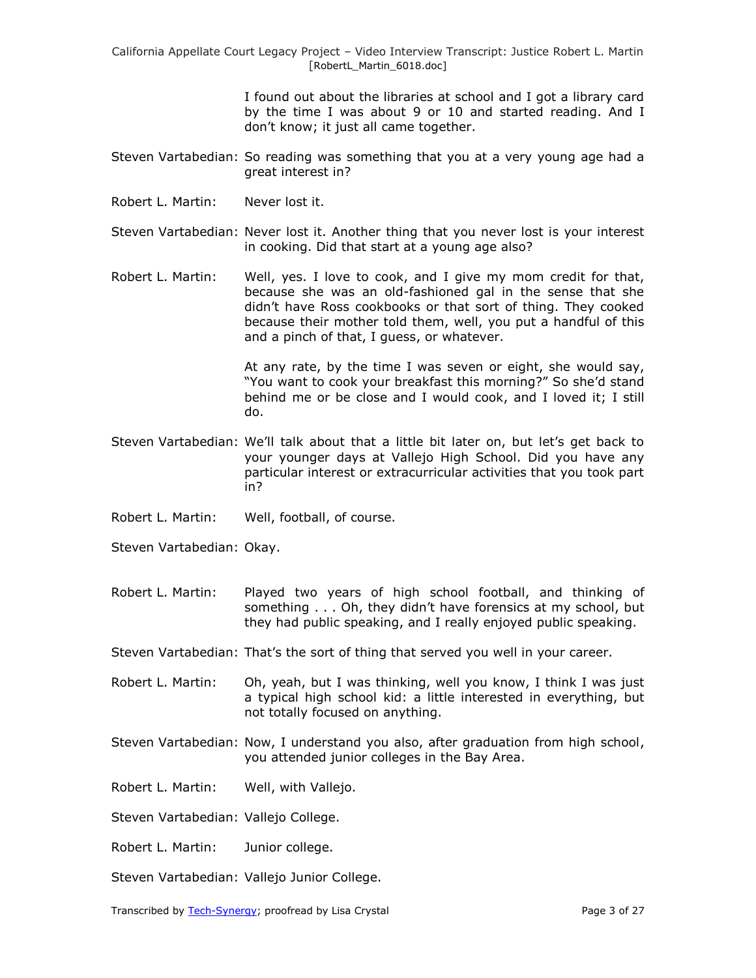> I found out about the libraries at school and I got a library card by the time I was about 9 or 10 and started reading. And I don't know; it just all came together.

- Steven Vartabedian: So reading was something that you at a very young age had a great interest in?
- Robert L. Martin: Never lost it.
- Steven Vartabedian: Never lost it. Another thing that you never lost is your interest in cooking. Did that start at a young age also?

Robert L. Martin: Well, yes. I love to cook, and I give my mom credit for that, because she was an old-fashioned gal in the sense that she didn't have Ross cookbooks or that sort of thing. They cooked because their mother told them, well, you put a handful of this and a pinch of that, I guess, or whatever.

> At any rate, by the time I was seven or eight, she would say, "You want to cook your breakfast this morning?" So she'd stand behind me or be close and I would cook, and I loved it; I still do.

- Steven Vartabedian: We'll talk about that a little bit later on, but let's get back to your younger days at Vallejo High School. Did you have any particular interest or extracurricular activities that you took part in?
- Robert L. Martin: Well, football, of course.
- Steven Vartabedian: Okay.
- Robert L. Martin: Played two years of high school football, and thinking of something . . . Oh, they didn't have forensics at my school, but they had public speaking, and I really enjoyed public speaking.
- Steven Vartabedian: That's the sort of thing that served you well in your career.
- Robert L. Martin: Oh, yeah, but I was thinking, well you know, I think I was just a typical high school kid: a little interested in everything, but not totally focused on anything.
- Steven Vartabedian: Now, I understand you also, after graduation from high school, you attended junior colleges in the Bay Area.
- Robert L. Martin: Well, with Vallejo.
- Steven Vartabedian: Vallejo College.
- Robert L. Martin: Junior college.
- Steven Vartabedian: Vallejo Junior College.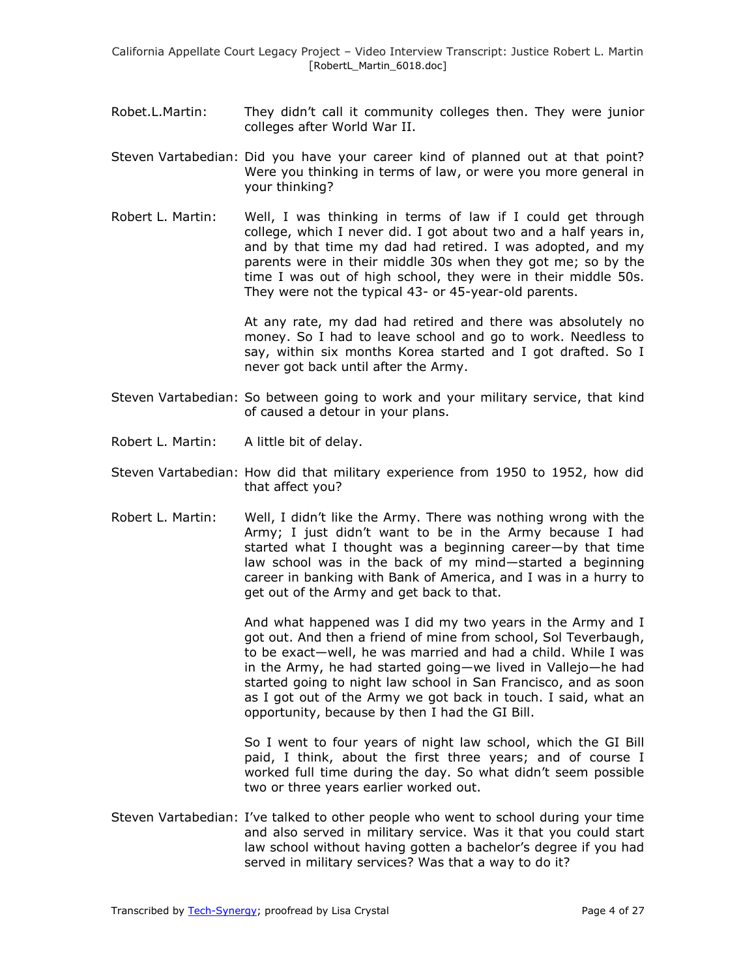- Robet.L.Martin: They didn't call it community colleges then. They were junior colleges after World War II.
- Steven Vartabedian: Did you have your career kind of planned out at that point? Were you thinking in terms of law, or were you more general in your thinking?
- Robert L. Martin: Well, I was thinking in terms of law if I could get through college, which I never did. I got about two and a half years in, and by that time my dad had retired. I was adopted, and my parents were in their middle 30s when they got me; so by the time I was out of high school, they were in their middle 50s. They were not the typical 43- or 45-year-old parents.

At any rate, my dad had retired and there was absolutely no money. So I had to leave school and go to work. Needless to say, within six months Korea started and I got drafted. So I never got back until after the Army.

- Steven Vartabedian: So between going to work and your military service, that kind of caused a detour in your plans.
- Robert L. Martin: A little bit of delay.
- Steven Vartabedian: How did that military experience from 1950 to 1952, how did that affect you?
- Robert L. Martin: Well, I didn't like the Army. There was nothing wrong with the Army; I just didn't want to be in the Army because I had started what I thought was a beginning career—by that time law school was in the back of my mind—started a beginning career in banking with Bank of America, and I was in a hurry to get out of the Army and get back to that.

And what happened was I did my two years in the Army and I got out. And then a friend of mine from school, Sol Teverbaugh, to be exact—well, he was married and had a child. While I was in the Army, he had started going—we lived in Vallejo—he had started going to night law school in San Francisco, and as soon as I got out of the Army we got back in touch. I said, what an opportunity, because by then I had the GI Bill.

So I went to four years of night law school, which the GI Bill paid, I think, about the first three years; and of course I worked full time during the day. So what didn't seem possible two or three years earlier worked out.

Steven Vartabedian: I've talked to other people who went to school during your time and also served in military service. Was it that you could start law school without having gotten a bachelor's degree if you had served in military services? Was that a way to do it?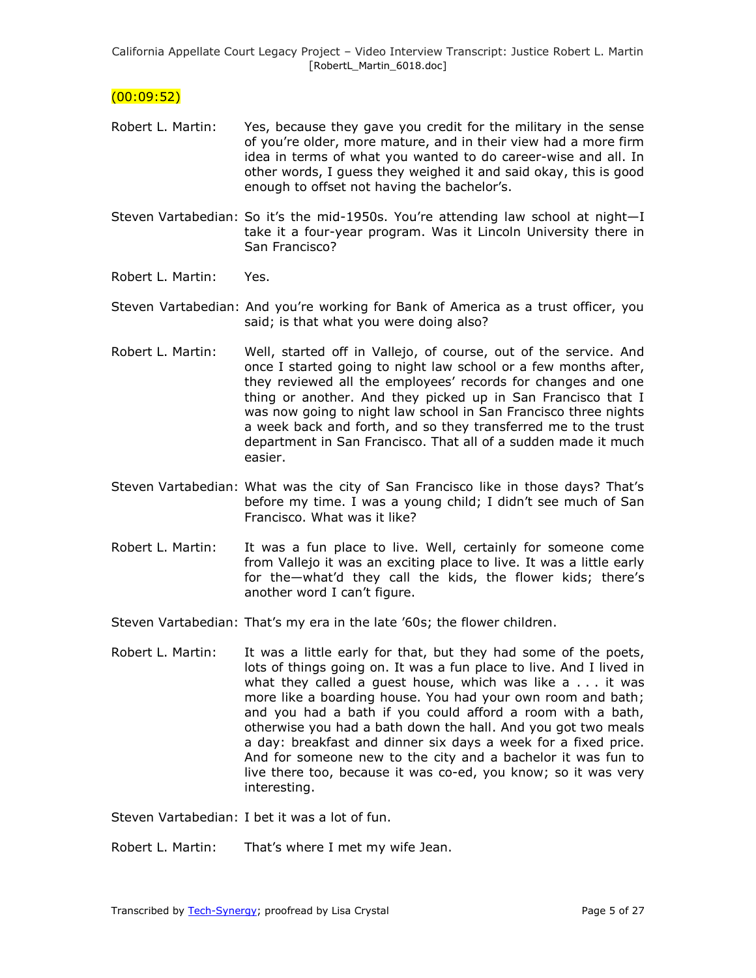## $(00:09:52)$

- Robert L. Martin: Yes, because they gave you credit for the military in the sense of you're older, more mature, and in their view had a more firm idea in terms of what you wanted to do career-wise and all. In other words, I guess they weighed it and said okay, this is good enough to offset not having the bachelor's.
- Steven Vartabedian: So it's the mid-1950s. You're attending law school at night—I take it a four-year program. Was it Lincoln University there in San Francisco?
- Robert L. Martin: Yes.
- Steven Vartabedian: And you're working for Bank of America as a trust officer, you said; is that what you were doing also?
- Robert L. Martin: Well, started off in Vallejo, of course, out of the service. And once I started going to night law school or a few months after, they reviewed all the employees' records for changes and one thing or another. And they picked up in San Francisco that I was now going to night law school in San Francisco three nights a week back and forth, and so they transferred me to the trust department in San Francisco. That all of a sudden made it much easier.
- Steven Vartabedian: What was the city of San Francisco like in those days? That's before my time. I was a young child; I didn't see much of San Francisco. What was it like?
- Robert L. Martin: It was a fun place to live. Well, certainly for someone come from Vallejo it was an exciting place to live. It was a little early for the—what'd they call the kids, the flower kids; there's another word I can't figure.
- Steven Vartabedian: That's my era in the late '60s; the flower children.
- Robert L. Martin: It was a little early for that, but they had some of the poets, lots of things going on. It was a fun place to live. And I lived in what they called a guest house, which was like a . . . it was more like a boarding house. You had your own room and bath; and you had a bath if you could afford a room with a bath, otherwise you had a bath down the hall. And you got two meals a day: breakfast and dinner six days a week for a fixed price. And for someone new to the city and a bachelor it was fun to live there too, because it was co-ed, you know; so it was very interesting.

Steven Vartabedian: I bet it was a lot of fun.

Robert L. Martin: That's where I met my wife Jean.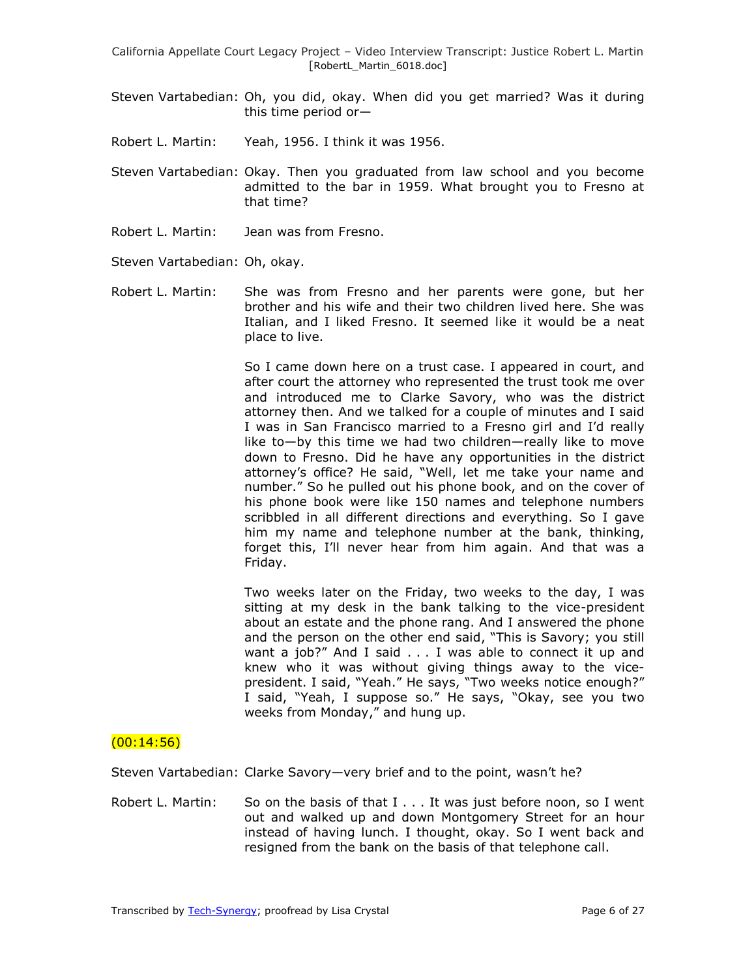- Steven Vartabedian: Oh, you did, okay. When did you get married? Was it during this time period or—
- Robert L. Martin: Yeah, 1956. I think it was 1956.
- Steven Vartabedian: Okay. Then you graduated from law school and you become admitted to the bar in 1959. What brought you to Fresno at that time?
- Robert L. Martin: Jean was from Fresno.

Steven Vartabedian: Oh, okay.

Robert L. Martin: She was from Fresno and her parents were gone, but her brother and his wife and their two children lived here. She was Italian, and I liked Fresno. It seemed like it would be a neat place to live.

> So I came down here on a trust case. I appeared in court, and after court the attorney who represented the trust took me over and introduced me to Clarke Savory, who was the district attorney then. And we talked for a couple of minutes and I said I was in San Francisco married to a Fresno girl and I'd really like to—by this time we had two children—really like to move down to Fresno. Did he have any opportunities in the district attorney's office? He said, "Well, let me take your name and number." So he pulled out his phone book, and on the cover of his phone book were like 150 names and telephone numbers scribbled in all different directions and everything. So I gave him my name and telephone number at the bank, thinking, forget this, I'll never hear from him again. And that was a Friday.

> Two weeks later on the Friday, two weeks to the day, I was sitting at my desk in the bank talking to the vice-president about an estate and the phone rang. And I answered the phone and the person on the other end said, "This is Savory; you still want a job?" And I said . . . I was able to connect it up and knew who it was without giving things away to the vicepresident. I said, "Yeah." He says, "Two weeks notice enough?" I said, "Yeah, I suppose so." He says, "Okay, see you two weeks from Monday," and hung up.

#### $(00:14:56)$

Steven Vartabedian: Clarke Savory—very brief and to the point, wasn't he?

Robert L. Martin: So on the basis of that I . . . It was just before noon, so I went out and walked up and down Montgomery Street for an hour instead of having lunch. I thought, okay. So I went back and resigned from the bank on the basis of that telephone call.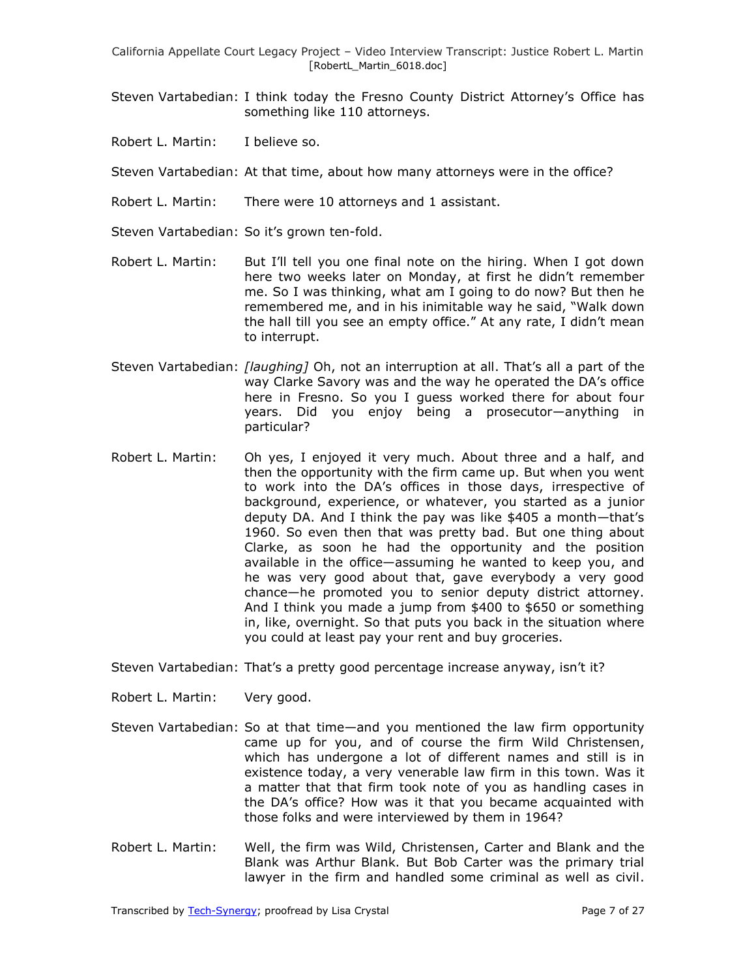- Steven Vartabedian: I think today the Fresno County District Attorney's Office has something like 110 attorneys.
- Robert L. Martin: I believe so.

Steven Vartabedian: At that time, about how many attorneys were in the office?

- Robert L. Martin: There were 10 attorneys and 1 assistant.
- Steven Vartabedian: So it's grown ten-fold.
- Robert L. Martin: But I'll tell you one final note on the hiring. When I got down here two weeks later on Monday, at first he didn't remember me. So I was thinking, what am I going to do now? But then he remembered me, and in his inimitable way he said, "Walk down the hall till you see an empty office." At any rate, I didn't mean to interrupt.
- Steven Vartabedian: *[laughing]* Oh, not an interruption at all. That's all a part of the way Clarke Savory was and the way he operated the DA's office here in Fresno. So you I guess worked there for about four years. Did you enjoy being a prosecutor—anything in particular?
- Robert L. Martin: Oh yes, I enjoyed it very much. About three and a half, and then the opportunity with the firm came up. But when you went to work into the DA's offices in those days, irrespective of background, experience, or whatever, you started as a junior deputy DA. And I think the pay was like \$405 a month—that's 1960. So even then that was pretty bad. But one thing about Clarke, as soon he had the opportunity and the position available in the office—assuming he wanted to keep you, and he was very good about that, gave everybody a very good chance—he promoted you to senior deputy district attorney. And I think you made a jump from \$400 to \$650 or something in, like, overnight. So that puts you back in the situation where you could at least pay your rent and buy groceries.

Steven Vartabedian: That's a pretty good percentage increase anyway, isn't it?

Robert L. Martin: Very good.

- Steven Vartabedian: So at that time—and you mentioned the law firm opportunity came up for you, and of course the firm Wild Christensen, which has undergone a lot of different names and still is in existence today, a very venerable law firm in this town. Was it a matter that that firm took note of you as handling cases in the DA's office? How was it that you became acquainted with those folks and were interviewed by them in 1964?
- Robert L. Martin: Well, the firm was Wild, Christensen, Carter and Blank and the Blank was Arthur Blank. But Bob Carter was the primary trial lawyer in the firm and handled some criminal as well as civil.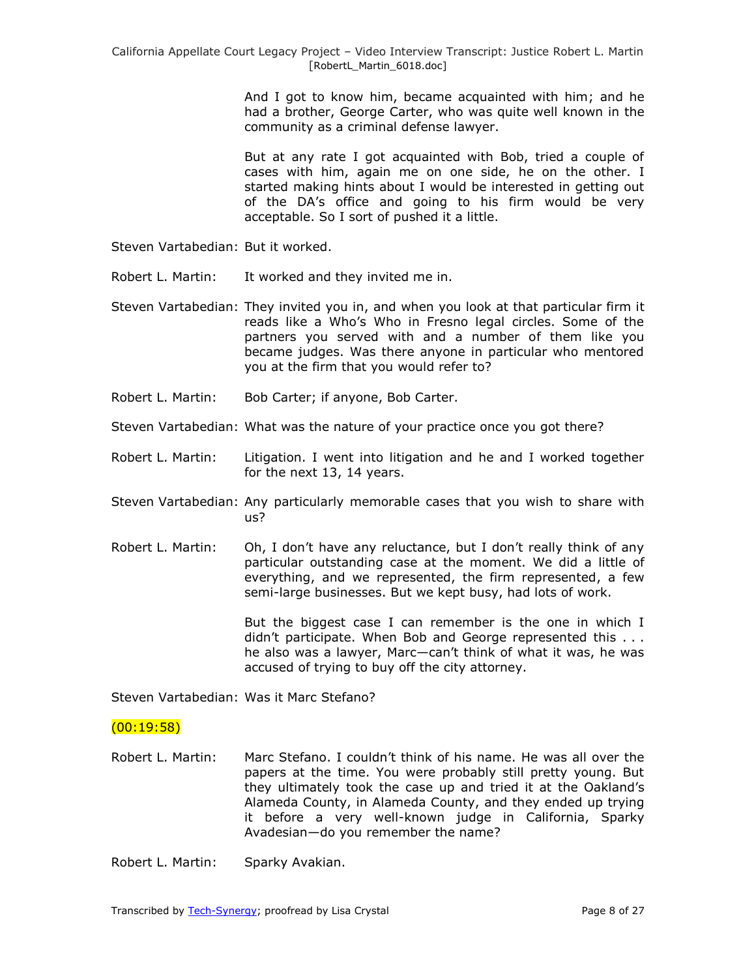And I got to know him, became acquainted with him; and he had a brother, George Carter, who was quite well known in the community as a criminal defense lawyer.

But at any rate I got acquainted with Bob, tried a couple of cases with him, again me on one side, he on the other. I started making hints about I would be interested in getting out of the DA's office and going to his firm would be very acceptable. So I sort of pushed it a little.

- Steven Vartabedian: But it worked.
- Robert L. Martin: It worked and they invited me in.
- Steven Vartabedian: They invited you in, and when you look at that particular firm it reads like a Who's Who in Fresno legal circles. Some of the partners you served with and a number of them like you became judges. Was there anyone in particular who mentored you at the firm that you would refer to?
- Robert L. Martin: Bob Carter; if anyone, Bob Carter.
- Steven Vartabedian: What was the nature of your practice once you got there?
- Robert L. Martin: Litigation. I went into litigation and he and I worked together for the next 13, 14 years.
- Steven Vartabedian: Any particularly memorable cases that you wish to share with us?
- Robert L. Martin: Oh, I don't have any reluctance, but I don't really think of any particular outstanding case at the moment. We did a little of everything, and we represented, the firm represented, a few semi-large businesses. But we kept busy, had lots of work.

But the biggest case I can remember is the one in which I didn't participate. When Bob and George represented this . . . he also was a lawyer, Marc—can't think of what it was, he was accused of trying to buy off the city attorney.

Steven Vartabedian: Was it Marc Stefano?

### $(00:19:58)$

- Robert L. Martin: Marc Stefano. I couldn't think of his name. He was all over the papers at the time. You were probably still pretty young. But they ultimately took the case up and tried it at the Oakland's Alameda County, in Alameda County, and they ended up trying it before a very well-known judge in California, Sparky Avadesian—do you remember the name?
- Robert L. Martin: Sparky Avakian.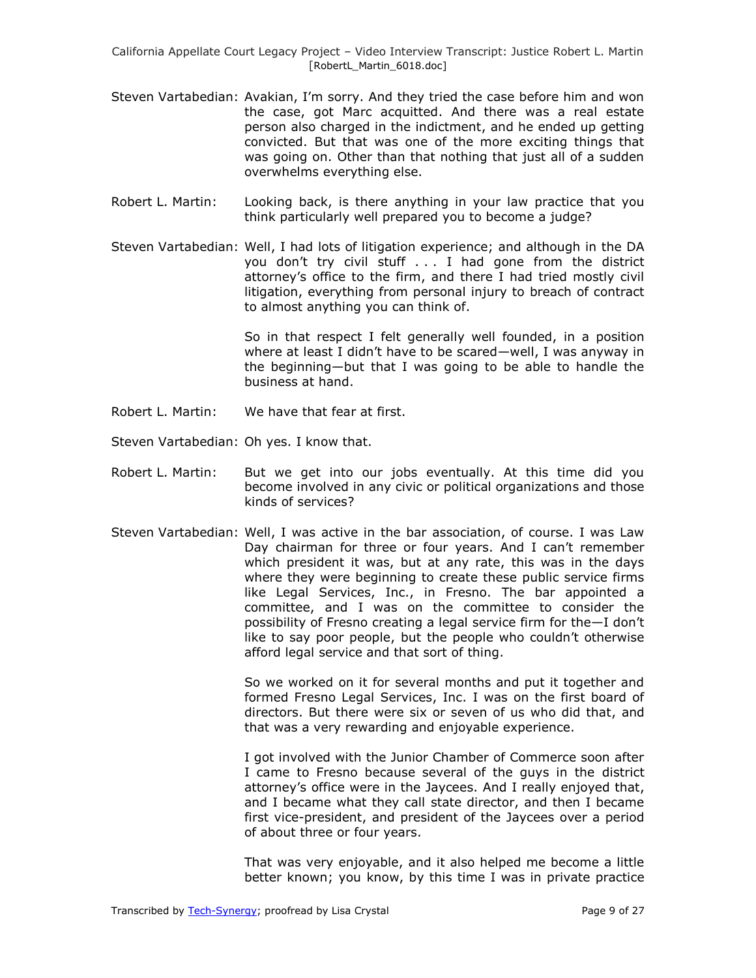- Steven Vartabedian: Avakian, I'm sorry. And they tried the case before him and won the case, got Marc acquitted. And there was a real estate person also charged in the indictment, and he ended up getting convicted. But that was one of the more exciting things that was going on. Other than that nothing that just all of a sudden overwhelms everything else.
- Robert L. Martin: Looking back, is there anything in your law practice that you think particularly well prepared you to become a judge?
- Steven Vartabedian: Well, I had lots of litigation experience; and although in the DA you don't try civil stuff . . . I had gone from the district attorney's office to the firm, and there I had tried mostly civil litigation, everything from personal injury to breach of contract to almost anything you can think of.

So in that respect I felt generally well founded, in a position where at least I didn't have to be scared—well, I was anyway in the beginning—but that I was going to be able to handle the business at hand.

- Robert L. Martin: We have that fear at first.
- Steven Vartabedian: Oh yes. I know that.
- Robert L. Martin: But we get into our jobs eventually. At this time did you become involved in any civic or political organizations and those kinds of services?
- Steven Vartabedian: Well, I was active in the bar association, of course. I was Law Day chairman for three or four years. And I can't remember which president it was, but at any rate, this was in the days where they were beginning to create these public service firms like Legal Services, Inc., in Fresno. The bar appointed a committee, and I was on the committee to consider the possibility of Fresno creating a legal service firm for the—I don't like to say poor people, but the people who couldn't otherwise afford legal service and that sort of thing.

So we worked on it for several months and put it together and formed Fresno Legal Services, Inc. I was on the first board of directors. But there were six or seven of us who did that, and that was a very rewarding and enjoyable experience.

I got involved with the Junior Chamber of Commerce soon after I came to Fresno because several of the guys in the district attorney's office were in the Jaycees. And I really enjoyed that, and I became what they call state director, and then I became first vice-president, and president of the Jaycees over a period of about three or four years.

That was very enjoyable, and it also helped me become a little better known; you know, by this time I was in private practice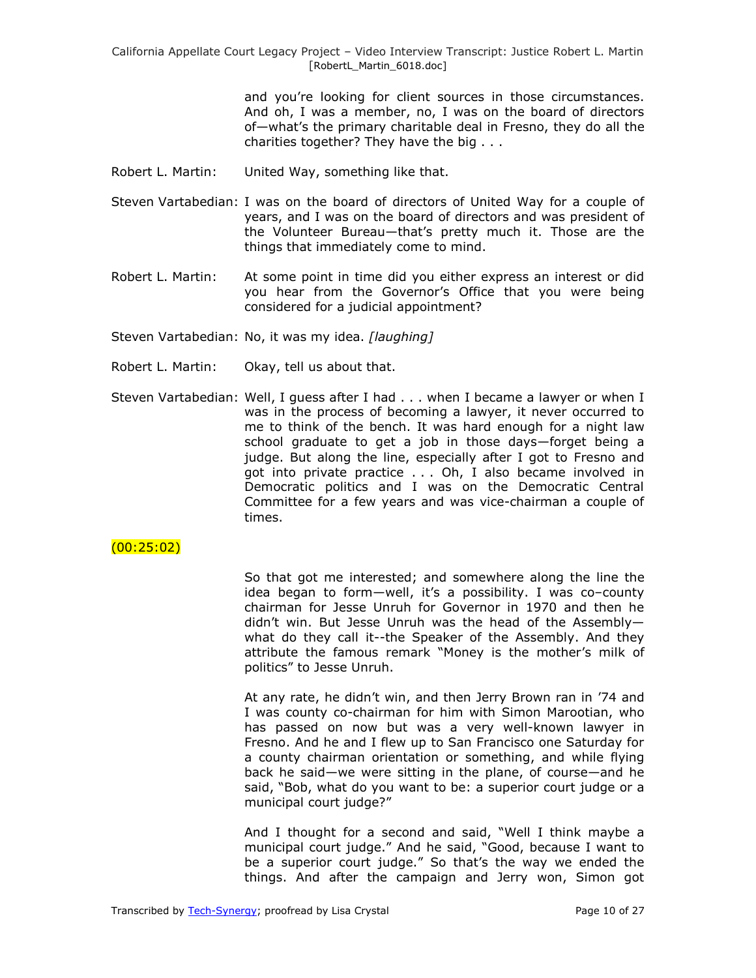> and you're looking for client sources in those circumstances. And oh, I was a member, no, I was on the board of directors of—what's the primary charitable deal in Fresno, they do all the charities together? They have the big . . .

- Robert L. Martin: United Way, something like that.
- Steven Vartabedian: I was on the board of directors of United Way for a couple of years, and I was on the board of directors and was president of the Volunteer Bureau—that's pretty much it. Those are the things that immediately come to mind.
- Robert L. Martin: At some point in time did you either express an interest or did you hear from the Governor's Office that you were being considered for a judicial appointment?

Steven Vartabedian: No, it was my idea. *[laughing]*

- Robert L. Martin: Okay, tell us about that.
- Steven Vartabedian: Well, I guess after I had . . . when I became a lawyer or when I was in the process of becoming a lawyer, it never occurred to me to think of the bench. It was hard enough for a night law school graduate to get a job in those days—forget being a judge. But along the line, especially after I got to Fresno and got into private practice . . . Oh, I also became involved in Democratic politics and I was on the Democratic Central Committee for a few years and was vice-chairman a couple of times.

### (00:25:02)

So that got me interested; and somewhere along the line the idea began to form—well, it's a possibility. I was co–county chairman for Jesse Unruh for Governor in 1970 and then he didn't win. But Jesse Unruh was the head of the Assembly what do they call it--the Speaker of the Assembly. And they attribute the famous remark "Money is the mother's milk of politics" to Jesse Unruh.

At any rate, he didn't win, and then Jerry Brown ran in '74 and I was county co-chairman for him with Simon Marootian, who has passed on now but was a very well-known lawyer in Fresno. And he and I flew up to San Francisco one Saturday for a county chairman orientation or something, and while flying back he said—we were sitting in the plane, of course—and he said, "Bob, what do you want to be: a superior court judge or a municipal court judge?"

And I thought for a second and said, "Well I think maybe a municipal court judge." And he said, "Good, because I want to be a superior court judge." So that's the way we ended the things. And after the campaign and Jerry won, Simon got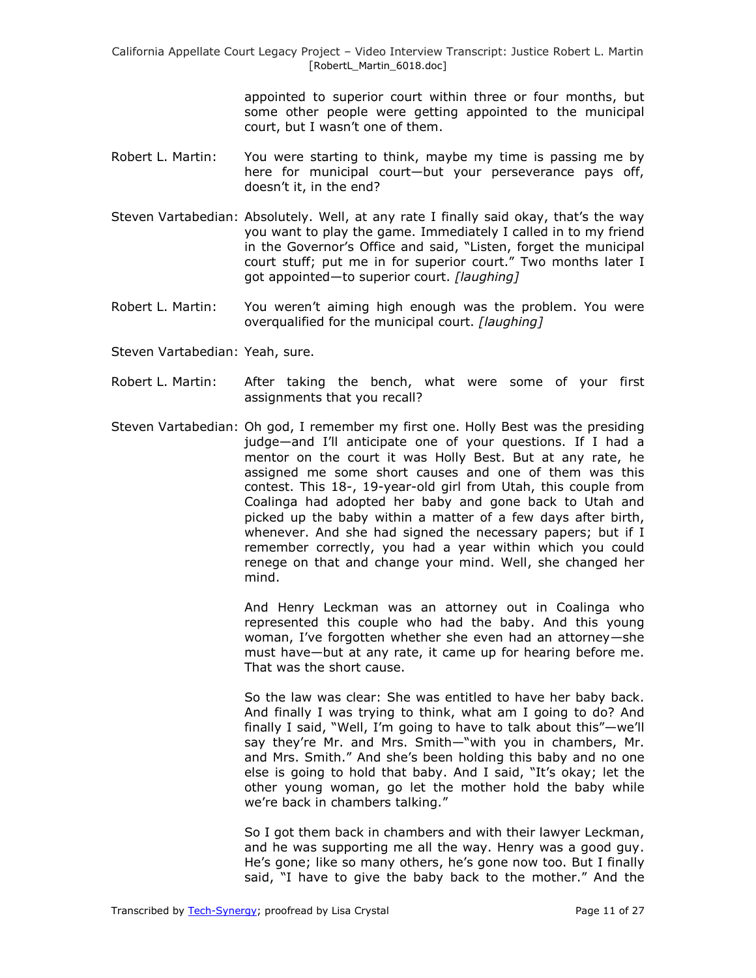> appointed to superior court within three or four months, but some other people were getting appointed to the municipal court, but I wasn't one of them.

- Robert L. Martin: You were starting to think, maybe my time is passing me by here for municipal court—but your perseverance pays off, doesn't it, in the end?
- Steven Vartabedian: Absolutely. Well, at any rate I finally said okay, that's the way you want to play the game. Immediately I called in to my friend in the Governor's Office and said, "Listen, forget the municipal court stuff; put me in for superior court." Two months later I got appointed—to superior court. *[laughing]*
- Robert L. Martin: You weren't aiming high enough was the problem. You were overqualified for the municipal court. *[laughing]*
- Steven Vartabedian: Yeah, sure.
- Robert L. Martin: After taking the bench, what were some of your first assignments that you recall?
- Steven Vartabedian: Oh god, I remember my first one. Holly Best was the presiding judge—and I'll anticipate one of your questions. If I had a mentor on the court it was Holly Best. But at any rate, he assigned me some short causes and one of them was this contest. This 18-, 19-year-old girl from Utah, this couple from Coalinga had adopted her baby and gone back to Utah and picked up the baby within a matter of a few days after birth, whenever. And she had signed the necessary papers; but if I remember correctly, you had a year within which you could renege on that and change your mind. Well, she changed her mind.

And Henry Leckman was an attorney out in Coalinga who represented this couple who had the baby. And this young woman, I've forgotten whether she even had an attorney—she must have—but at any rate, it came up for hearing before me. That was the short cause.

So the law was clear: She was entitled to have her baby back. And finally I was trying to think, what am I going to do? And finally I said, "Well, I'm going to have to talk about this" $-we'll$ say they're Mr. and Mrs. Smith—"with you in chambers, Mr. and Mrs. Smith." And she's been holding this baby and no one else is going to hold that baby. And I said, "It's okay; let the other young woman, go let the mother hold the baby while we're back in chambers talking."

So I got them back in chambers and with their lawyer Leckman, and he was supporting me all the way. Henry was a good guy. He's gone; like so many others, he's gone now too. But I finally said, "I have to give the baby back to the mother." And the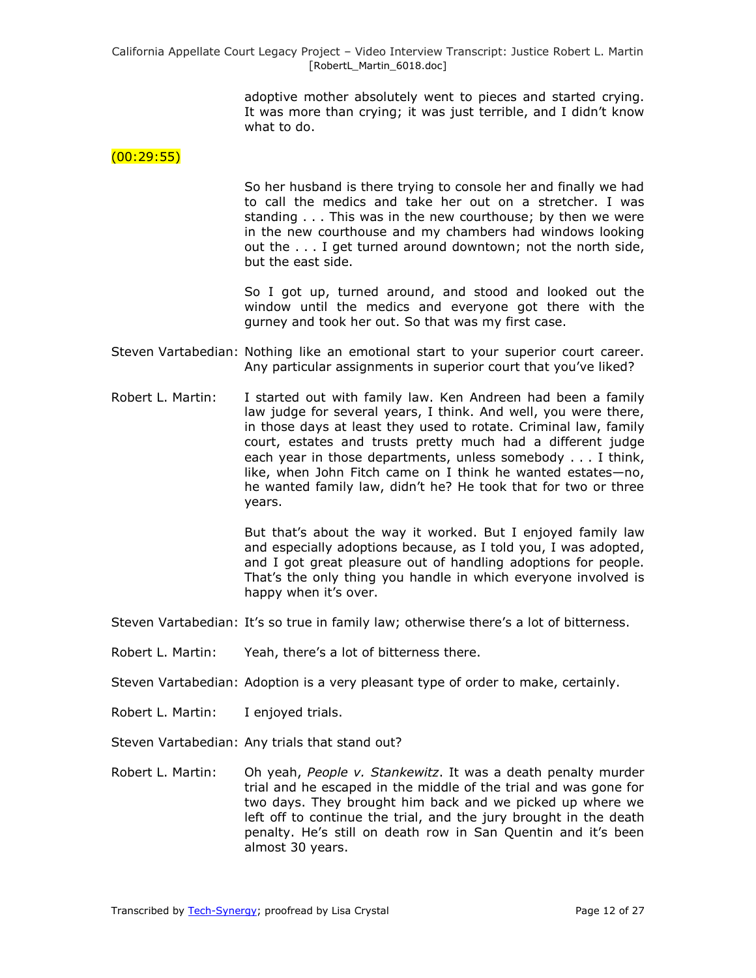> adoptive mother absolutely went to pieces and started crying. It was more than crying; it was just terrible, and I didn't know what to do.

#### $(00:29:55)$

So her husband is there trying to console her and finally we had to call the medics and take her out on a stretcher. I was standing . . . This was in the new courthouse; by then we were in the new courthouse and my chambers had windows looking out the . . . I get turned around downtown; not the north side, but the east side.

So I got up, turned around, and stood and looked out the window until the medics and everyone got there with the gurney and took her out. So that was my first case.

- Steven Vartabedian: Nothing like an emotional start to your superior court career. Any particular assignments in superior court that you've liked?
- Robert L. Martin: I started out with family law. Ken Andreen had been a family law judge for several years, I think. And well, you were there, in those days at least they used to rotate. Criminal law, family court, estates and trusts pretty much had a different judge each year in those departments, unless somebody . . . I think, like, when John Fitch came on I think he wanted estates—no, he wanted family law, didn't he? He took that for two or three years.

But that's about the way it worked. But I enjoyed family law and especially adoptions because, as I told you, I was adopted, and I got great pleasure out of handling adoptions for people. That's the only thing you handle in which everyone involved is happy when it's over.

Steven Vartabedian: It's so true in family law; otherwise there's a lot of bitterness.

Robert L. Martin: Yeah, there's a lot of bitterness there.

Steven Vartabedian: Adoption is a very pleasant type of order to make, certainly.

- Robert L. Martin: I enjoyed trials.
- Steven Vartabedian: Any trials that stand out?
- Robert L. Martin: Oh yeah, *People v. Stankewitz*. It was a death penalty murder trial and he escaped in the middle of the trial and was gone for two days. They brought him back and we picked up where we left off to continue the trial, and the jury brought in the death penalty. He's still on death row in San Quentin and it's been almost 30 years.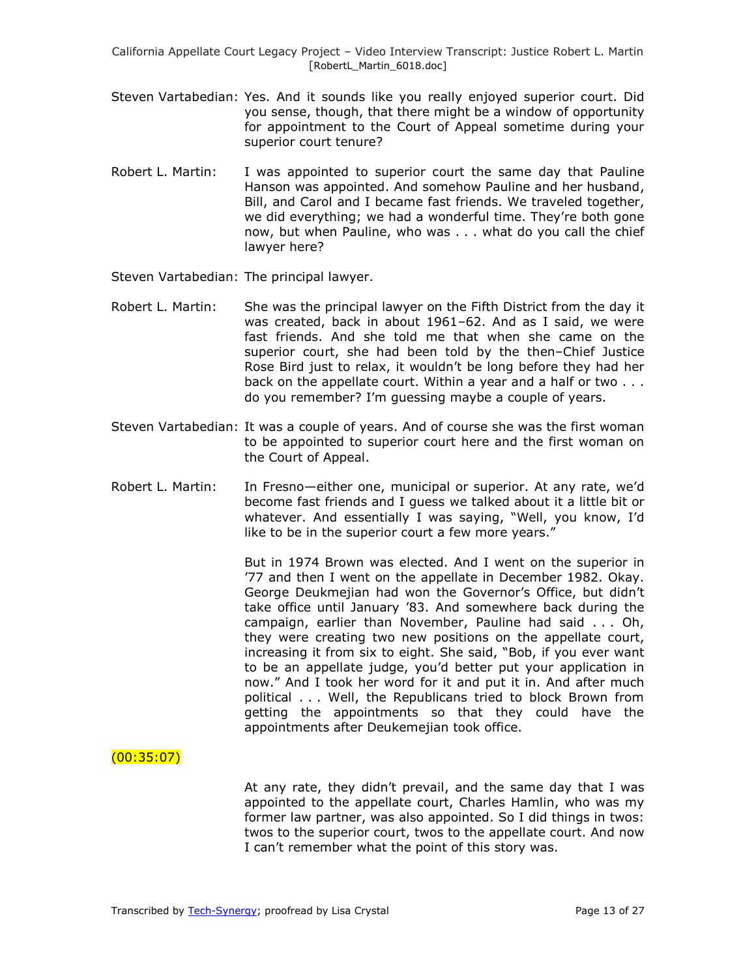- Steven Vartabedian: Yes. And it sounds like you really enjoyed superior court. Did you sense, though, that there might be a window of opportunity for appointment to the Court of Appeal sometime during your superior court tenure?
- Robert L. Martin: I was appointed to superior court the same day that Pauline Hanson was appointed. And somehow Pauline and her husband, Bill, and Carol and I became fast friends. We traveled together, we did everything; we had a wonderful time. They're both gone now, but when Pauline, who was . . . what do you call the chief lawyer here?
- Steven Vartabedian: The principal lawyer.
- Robert L. Martin: She was the principal lawyer on the Fifth District from the day it was created, back in about 1961–62. And as I said, we were fast friends. And she told me that when she came on the superior court, she had been told by the then–Chief Justice Rose Bird just to relax, it wouldn't be long before they had her back on the appellate court. Within a year and a half or two . . . do you remember? I'm guessing maybe a couple of years.
- Steven Vartabedian: It was a couple of years. And of course she was the first woman to be appointed to superior court here and the first woman on the Court of Appeal.
- Robert L. Martin: In Fresno—either one, municipal or superior. At any rate, we'd become fast friends and I guess we talked about it a little bit or whatever. And essentially I was saying, "Well, you know, I'd like to be in the superior court a few more years."

But in 1974 Brown was elected. And I went on the superior in '77 and then I went on the appellate in December 1982. Okay. George Deukmejian had won the Governor's Office, but didn't take office until January '83. And somewhere back during the campaign, earlier than November, Pauline had said . . . Oh, they were creating two new positions on the appellate court, increasing it from six to eight. She said, "Bob, if you ever want to be an appellate judge, you'd better put your application in now." And I took her word for it and put it in. And after much political . . . Well, the Republicans tried to block Brown from getting the appointments so that they could have the appointments after Deukemejian took office.

# (00:35:07)

At any rate, they didn't prevail, and the same day that I was appointed to the appellate court, Charles Hamlin, who was my former law partner, was also appointed. So I did things in twos: twos to the superior court, twos to the appellate court. And now I can't remember what the point of this story was.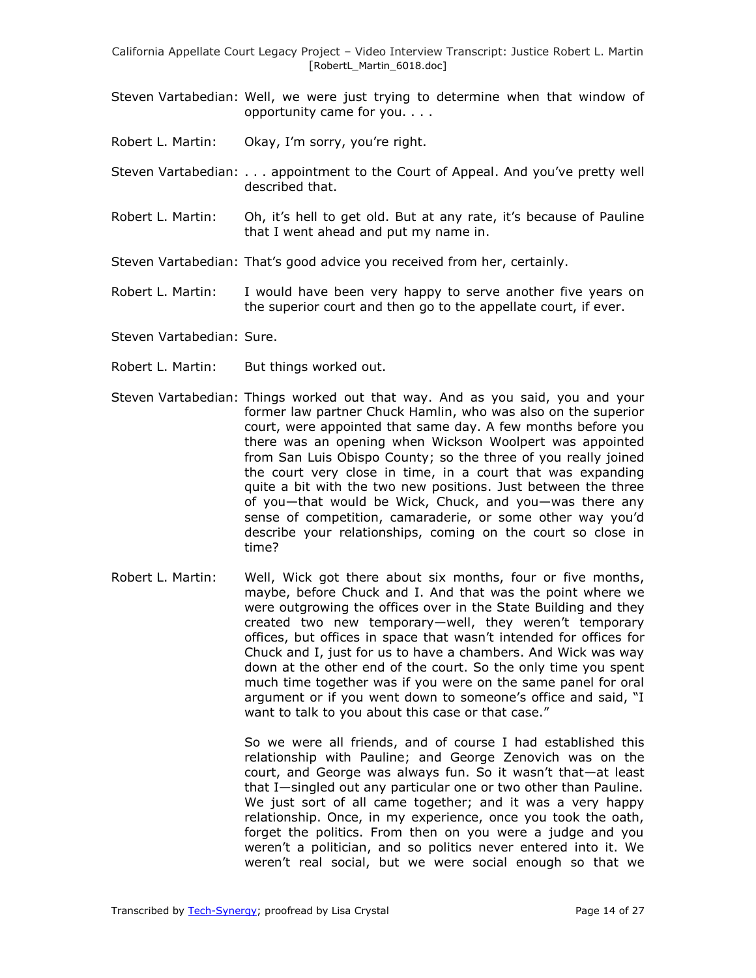- Steven Vartabedian: Well, we were just trying to determine when that window of opportunity came for you. . . .
- Robert L. Martin: Okay, I'm sorry, you're right.
- Steven Vartabedian: . . . appointment to the Court of Appeal. And you've pretty well described that.
- Robert L. Martin: Oh, it's hell to get old. But at any rate, it's because of Pauline that I went ahead and put my name in.
- Steven Vartabedian: That's good advice you received from her, certainly.
- Robert L. Martin: I would have been very happy to serve another five years on the superior court and then go to the appellate court, if ever.
- Steven Vartabedian: Sure.
- Robert L. Martin: But things worked out.
- Steven Vartabedian: Things worked out that way. And as you said, you and your former law partner Chuck Hamlin, who was also on the superior court, were appointed that same day. A few months before you there was an opening when Wickson Woolpert was appointed from San Luis Obispo County; so the three of you really joined the court very close in time, in a court that was expanding quite a bit with the two new positions. Just between the three of you—that would be Wick, Chuck, and you—was there any sense of competition, camaraderie, or some other way you'd describe your relationships, coming on the court so close in time?
- Robert L. Martin: Well, Wick got there about six months, four or five months, maybe, before Chuck and I. And that was the point where we were outgrowing the offices over in the State Building and they created two new temporary—well, they weren't temporary offices, but offices in space that wasn't intended for offices for Chuck and I, just for us to have a chambers. And Wick was way down at the other end of the court. So the only time you spent much time together was if you were on the same panel for oral argument or if you went down to someone's office and said, "I want to talk to you about this case or that case."

So we were all friends, and of course I had established this relationship with Pauline; and George Zenovich was on the court, and George was always fun. So it wasn't that—at least that I—singled out any particular one or two other than Pauline. We just sort of all came together; and it was a very happy relationship. Once, in my experience, once you took the oath, forget the politics. From then on you were a judge and you weren't a politician, and so politics never entered into it. We weren't real social, but we were social enough so that we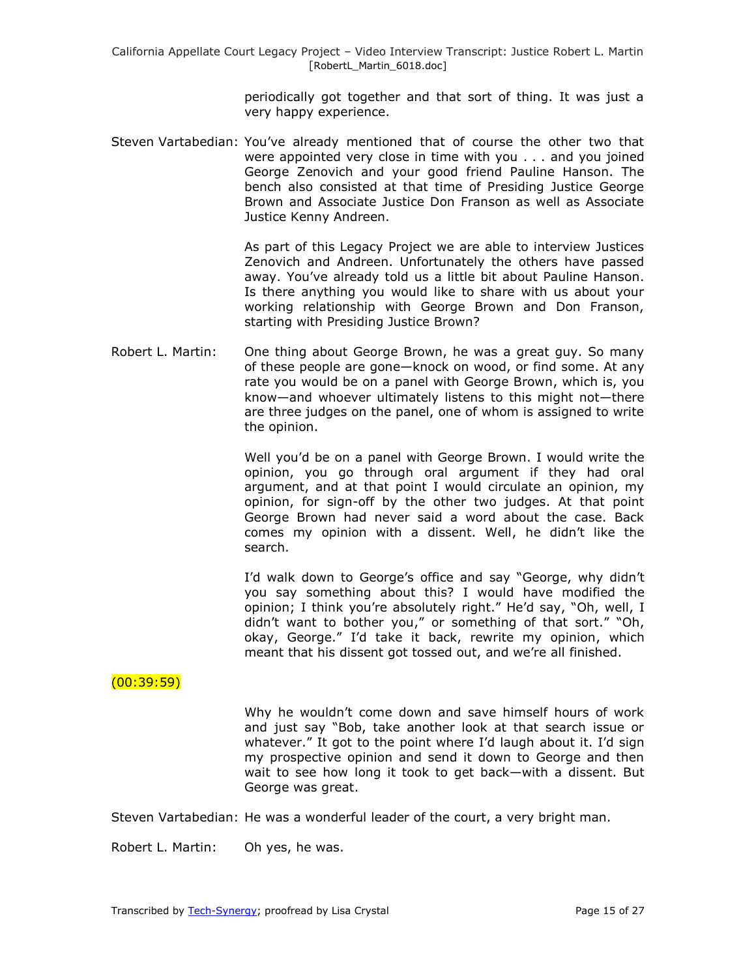periodically got together and that sort of thing. It was just a very happy experience.

Steven Vartabedian: You've already mentioned that of course the other two that were appointed very close in time with you . . . and you joined George Zenovich and your good friend Pauline Hanson. The bench also consisted at that time of Presiding Justice George Brown and Associate Justice Don Franson as well as Associate Justice Kenny Andreen.

> As part of this Legacy Project we are able to interview Justices Zenovich and Andreen. Unfortunately the others have passed away. You've already told us a little bit about Pauline Hanson. Is there anything you would like to share with us about your working relationship with George Brown and Don Franson, starting with Presiding Justice Brown?

Robert L. Martin: One thing about George Brown, he was a great guy. So many of these people are gone—knock on wood, or find some. At any rate you would be on a panel with George Brown, which is, you know—and whoever ultimately listens to this might not—there are three judges on the panel, one of whom is assigned to write the opinion.

> Well you'd be on a panel with George Brown. I would write the opinion, you go through oral argument if they had oral argument, and at that point I would circulate an opinion, my opinion, for sign-off by the other two judges. At that point George Brown had never said a word about the case. Back comes my opinion with a dissent. Well, he didn't like the search.

> I'd walk down to George's office and say "George, why didn't you say something about this? I would have modified the opinion; I think you're absolutely right." He'd say, "Oh, well, I didn't want to bother you," or something of that sort." "Oh, okay, George." I'd take it back, rewrite my opinion, which meant that his dissent got tossed out, and we're all finished.

# $(00:39:59)$

Why he wouldn't come down and save himself hours of work and just say "Bob, take another look at that search issue or whatever." It got to the point where I'd laugh about it. I'd sign my prospective opinion and send it down to George and then wait to see how long it took to get back—with a dissent. But George was great.

Steven Vartabedian: He was a wonderful leader of the court, a very bright man.

Robert L. Martin: Oh yes, he was.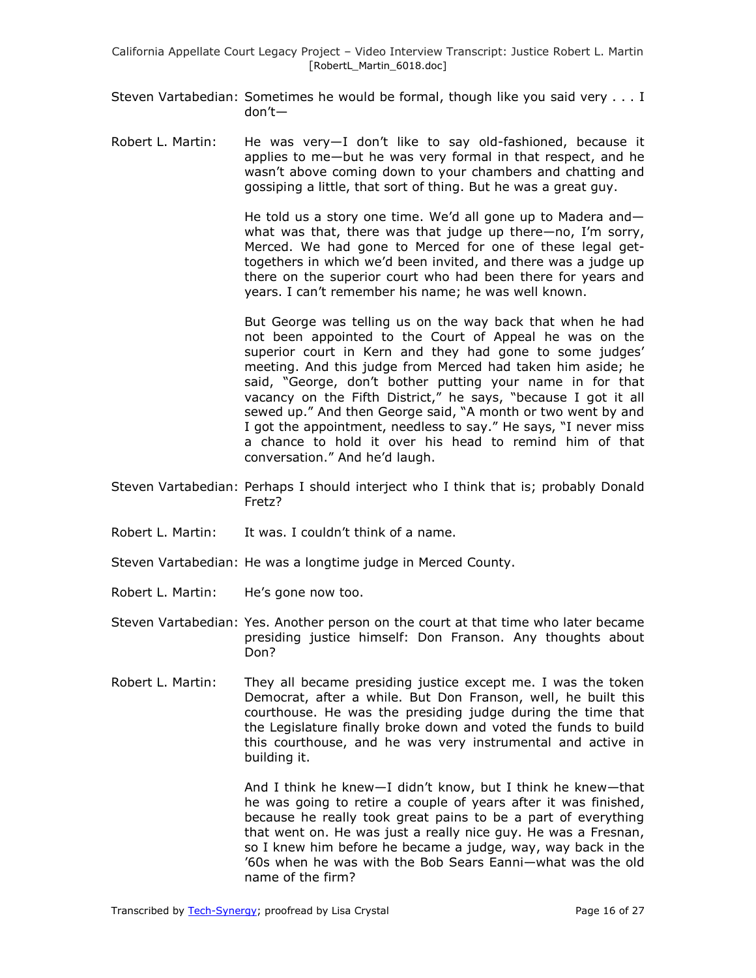- Steven Vartabedian: Sometimes he would be formal, though like you said very . . . I don't—
- Robert L. Martin: He was very—I don't like to say old-fashioned, because it applies to me—but he was very formal in that respect, and he wasn't above coming down to your chambers and chatting and gossiping a little, that sort of thing. But he was a great guy.

He told us a story one time. We'd all gone up to Madera and what was that, there was that judge up there—no, I'm sorry, Merced. We had gone to Merced for one of these legal gettogethers in which we'd been invited, and there was a judge up there on the superior court who had been there for years and years. I can't remember his name; he was well known.

But George was telling us on the way back that when he had not been appointed to the Court of Appeal he was on the superior court in Kern and they had gone to some judges' meeting. And this judge from Merced had taken him aside; he said, "George, don't bother putting your name in for that vacancy on the Fifth District," he says, "because I got it all sewed up." And then George said, "A month or two went by and I got the appointment, needless to say." He says, "I never miss a chance to hold it over his head to remind him of that conversation." And he'd laugh.

- Steven Vartabedian: Perhaps I should interject who I think that is; probably Donald Fretz?
- Robert L. Martin: It was. I couldn't think of a name.
- Steven Vartabedian: He was a longtime judge in Merced County.
- Robert L. Martin: He's gone now too.
- Steven Vartabedian: Yes. Another person on the court at that time who later became presiding justice himself: Don Franson. Any thoughts about Don?
- Robert L. Martin: They all became presiding justice except me. I was the token Democrat, after a while. But Don Franson, well, he built this courthouse. He was the presiding judge during the time that the Legislature finally broke down and voted the funds to build this courthouse, and he was very instrumental and active in building it.

And I think he knew—I didn't know, but I think he knew—that he was going to retire a couple of years after it was finished, because he really took great pains to be a part of everything that went on. He was just a really nice guy. He was a Fresnan, so I knew him before he became a judge, way, way back in the '60s when he was with the Bob Sears Eanni—what was the old name of the firm?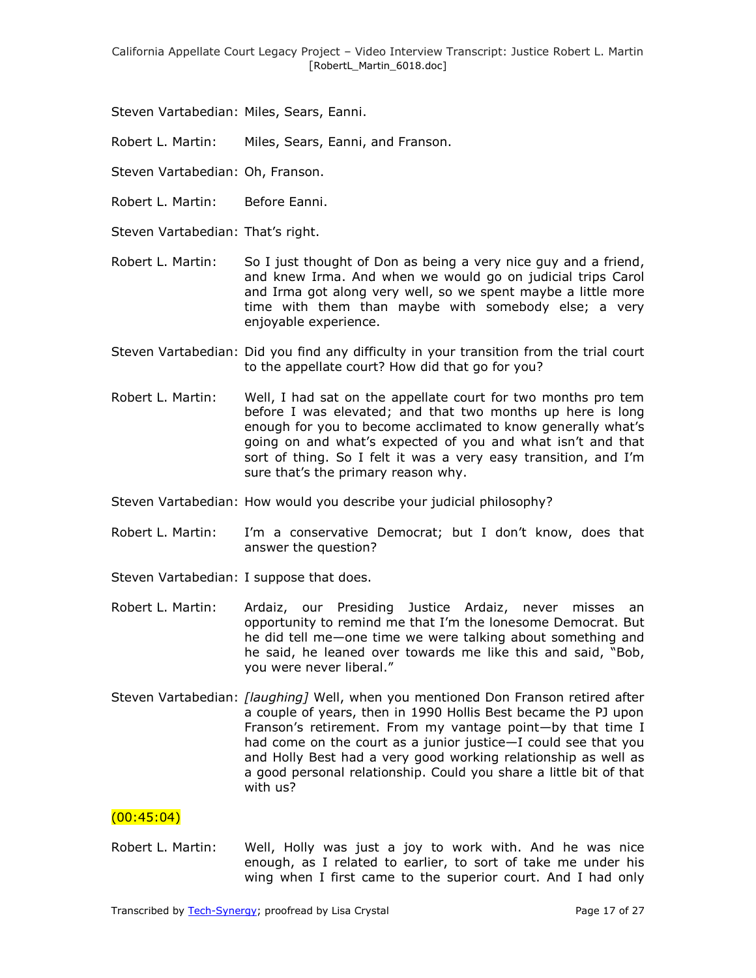Steven Vartabedian: Miles, Sears, Eanni.

Robert L. Martin: Miles, Sears, Eanni, and Franson.

Steven Vartabedian: Oh, Franson.

- Robert L. Martin: Before Eanni.
- Steven Vartabedian: That's right.
- Robert L. Martin: So I just thought of Don as being a very nice guy and a friend, and knew Irma. And when we would go on judicial trips Carol and Irma got along very well, so we spent maybe a little more time with them than maybe with somebody else; a very enjoyable experience.
- Steven Vartabedian: Did you find any difficulty in your transition from the trial court to the appellate court? How did that go for you?
- Robert L. Martin: Well, I had sat on the appellate court for two months pro tem before I was elevated; and that two months up here is long enough for you to become acclimated to know generally what's going on and what's expected of you and what isn't and that sort of thing. So I felt it was a very easy transition, and I'm sure that's the primary reason why.
- Steven Vartabedian: How would you describe your judicial philosophy?
- Robert L. Martin: I'm a conservative Democrat; but I don't know, does that answer the question?
- Steven Vartabedian: I suppose that does.
- Robert L. Martin: Ardaiz, our Presiding Justice Ardaiz, never misses an opportunity to remind me that I'm the lonesome Democrat. But he did tell me—one time we were talking about something and he said, he leaned over towards me like this and said, "Bob, you were never liberal."
- Steven Vartabedian: *[laughing]* Well, when you mentioned Don Franson retired after a couple of years, then in 1990 Hollis Best became the PJ upon Franson's retirement. From my vantage point—by that time I had come on the court as a junior justice—I could see that you and Holly Best had a very good working relationship as well as a good personal relationship. Could you share a little bit of that with us?

# (00:45:04)

Robert L. Martin: Well, Holly was just a joy to work with. And he was nice enough, as I related to earlier, to sort of take me under his wing when I first came to the superior court. And I had only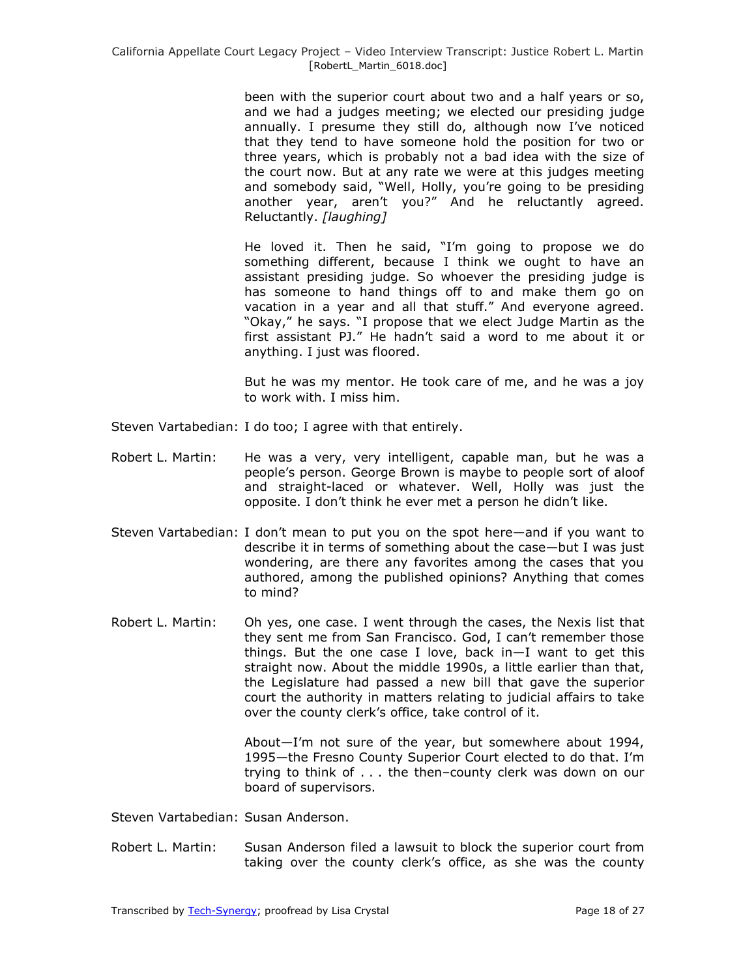been with the superior court about two and a half years or so, and we had a judges meeting; we elected our presiding judge annually. I presume they still do, although now I've noticed that they tend to have someone hold the position for two or three years, which is probably not a bad idea with the size of the court now. But at any rate we were at this judges meeting and somebody said, "Well, Holly, you're going to be presiding another year, aren't you?" And he reluctantly agreed. Reluctantly. *[laughing]*

He loved it. Then he said, "I'm going to propose we do something different, because I think we ought to have an assistant presiding judge. So whoever the presiding judge is has someone to hand things off to and make them go on vacation in a year and all that stuff." And everyone agreed. "Okay," he says. "I propose that we elect Judge Martin as the first assistant PJ." He hadn't said a word to me about it or anything. I just was floored.

But he was my mentor. He took care of me, and he was a joy to work with. I miss him.

- Steven Vartabedian: I do too; I agree with that entirely.
- Robert L. Martin: He was a very, very intelligent, capable man, but he was a people's person. George Brown is maybe to people sort of aloof and straight-laced or whatever. Well, Holly was just the opposite. I don't think he ever met a person he didn't like.
- Steven Vartabedian: I don't mean to put you on the spot here—and if you want to describe it in terms of something about the case—but I was just wondering, are there any favorites among the cases that you authored, among the published opinions? Anything that comes to mind?
- Robert L. Martin: Oh yes, one case. I went through the cases, the Nexis list that they sent me from San Francisco. God, I can't remember those things. But the one case I love, back in—I want to get this straight now. About the middle 1990s, a little earlier than that, the Legislature had passed a new bill that gave the superior court the authority in matters relating to judicial affairs to take over the county clerk's office, take control of it.

About—I'm not sure of the year, but somewhere about 1994, 1995—the Fresno County Superior Court elected to do that. I'm trying to think of . . . the then–county clerk was down on our board of supervisors.

Steven Vartabedian: Susan Anderson.

Robert L. Martin: Susan Anderson filed a lawsuit to block the superior court from taking over the county clerk's office, as she was the county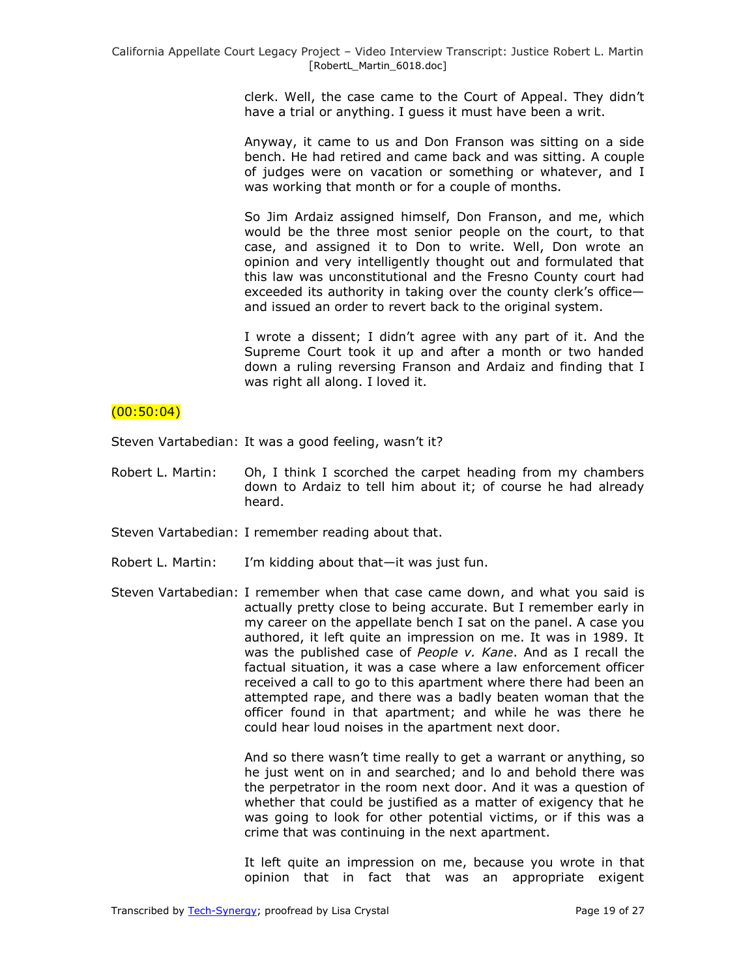clerk. Well, the case came to the Court of Appeal. They didn't have a trial or anything. I guess it must have been a writ.

Anyway, it came to us and Don Franson was sitting on a side bench. He had retired and came back and was sitting. A couple of judges were on vacation or something or whatever, and I was working that month or for a couple of months.

So Jim Ardaiz assigned himself, Don Franson, and me, which would be the three most senior people on the court, to that case, and assigned it to Don to write. Well, Don wrote an opinion and very intelligently thought out and formulated that this law was unconstitutional and the Fresno County court had exceeded its authority in taking over the county clerk's office and issued an order to revert back to the original system.

I wrote a dissent; I didn't agree with any part of it. And the Supreme Court took it up and after a month or two handed down a ruling reversing Franson and Ardaiz and finding that I was right all along. I loved it.

### $(00:50:04)$

Steven Vartabedian: It was a good feeling, wasn't it?

- Robert L. Martin: Oh, I think I scorched the carpet heading from my chambers down to Ardaiz to tell him about it; of course he had already heard.
- Steven Vartabedian: I remember reading about that.
- Robert L. Martin: I'm kidding about that—it was just fun.
- Steven Vartabedian: I remember when that case came down, and what you said is actually pretty close to being accurate. But I remember early in my career on the appellate bench I sat on the panel. A case you authored, it left quite an impression on me. It was in 1989. It was the published case of *People v. Kane*. And as I recall the factual situation, it was a case where a law enforcement officer received a call to go to this apartment where there had been an attempted rape, and there was a badly beaten woman that the officer found in that apartment; and while he was there he could hear loud noises in the apartment next door.

And so there wasn't time really to get a warrant or anything, so he just went on in and searched; and lo and behold there was the perpetrator in the room next door. And it was a question of whether that could be justified as a matter of exigency that he was going to look for other potential victims, or if this was a crime that was continuing in the next apartment.

It left quite an impression on me, because you wrote in that opinion that in fact that was an appropriate exigent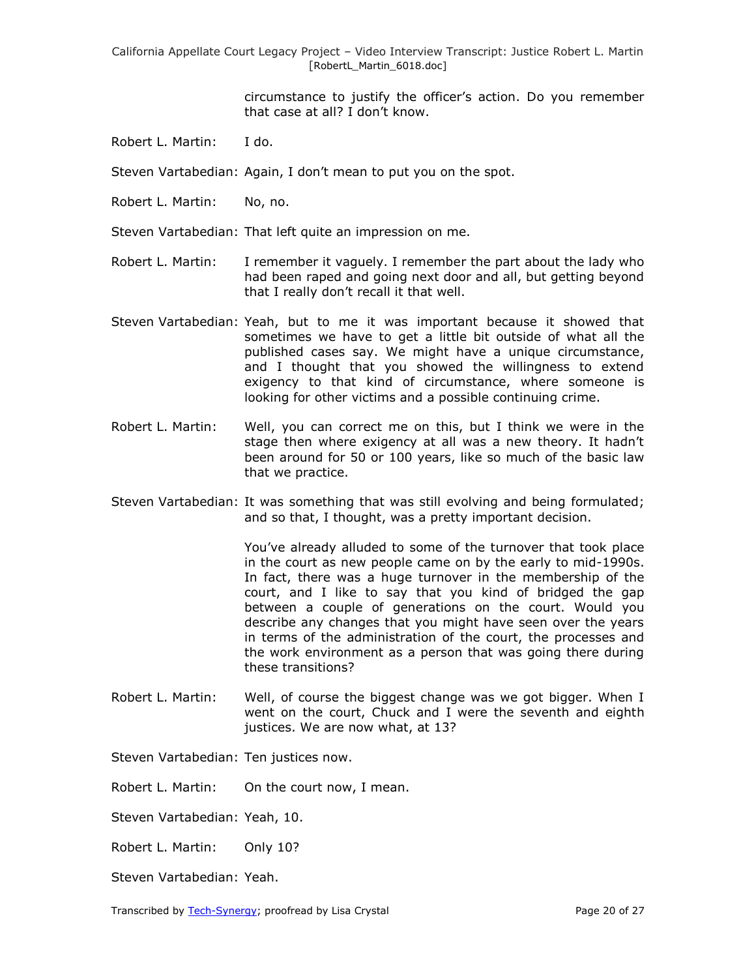> circumstance to justify the officer's action. Do you remember that case at all? I don't know.

Robert L. Martin: I do.

Steven Vartabedian: Again, I don't mean to put you on the spot.

- Robert L. Martin: No, no.
- Steven Vartabedian: That left quite an impression on me.
- Robert L. Martin: I remember it vaguely. I remember the part about the lady who had been raped and going next door and all, but getting beyond that I really don't recall it that well.
- Steven Vartabedian: Yeah, but to me it was important because it showed that sometimes we have to get a little bit outside of what all the published cases say. We might have a unique circumstance, and I thought that you showed the willingness to extend exigency to that kind of circumstance, where someone is looking for other victims and a possible continuing crime.
- Robert L. Martin: Well, you can correct me on this, but I think we were in the stage then where exigency at all was a new theory. It hadn't been around for 50 or 100 years, like so much of the basic law that we practice.
- Steven Vartabedian: It was something that was still evolving and being formulated; and so that, I thought, was a pretty important decision.

You've already alluded to some of the turnover that took place in the court as new people came on by the early to mid-1990s. In fact, there was a huge turnover in the membership of the court, and I like to say that you kind of bridged the gap between a couple of generations on the court. Would you describe any changes that you might have seen over the years in terms of the administration of the court, the processes and the work environment as a person that was going there during these transitions?

Robert L. Martin: Well, of course the biggest change was we got bigger. When I went on the court, Chuck and I were the seventh and eighth justices. We are now what, at 13?

Steven Vartabedian: Ten justices now.

Robert L. Martin: On the court now, I mean.

Steven Vartabedian: Yeah, 10.

Robert L. Martin: Only 10?

Steven Vartabedian: Yeah.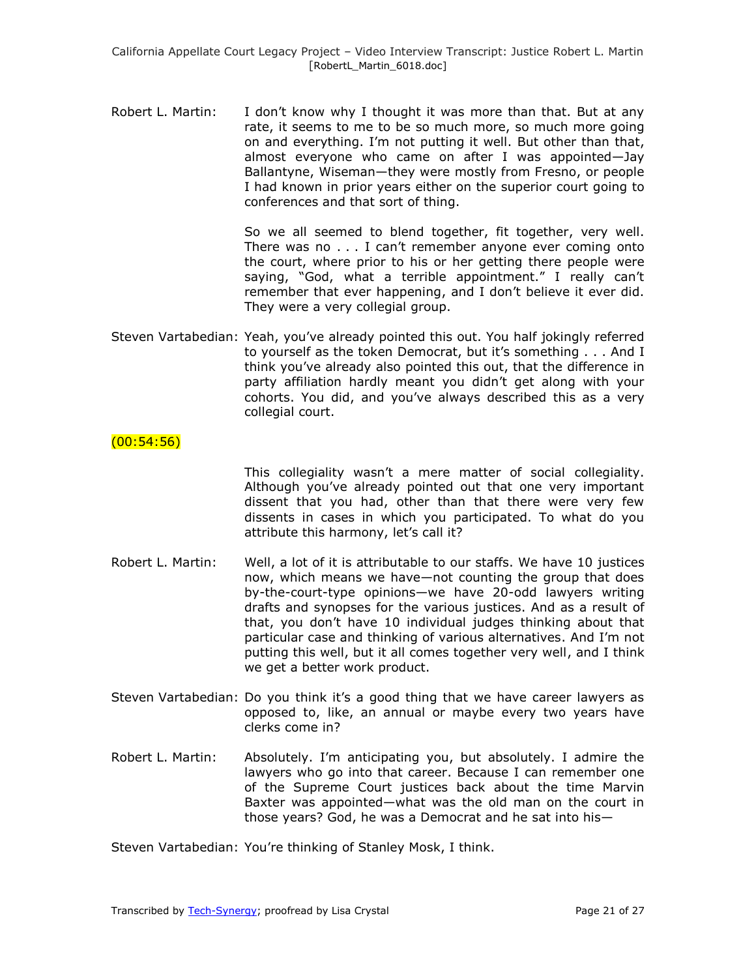Robert L. Martin: I don't know why I thought it was more than that. But at any rate, it seems to me to be so much more, so much more going on and everything. I'm not putting it well. But other than that, almost everyone who came on after I was appointed—Jay Ballantyne, Wiseman—they were mostly from Fresno, or people I had known in prior years either on the superior court going to conferences and that sort of thing.

> So we all seemed to blend together, fit together, very well. There was no . . . I can't remember anyone ever coming onto the court, where prior to his or her getting there people were saying, "God, what a terrible appointment." I really can't remember that ever happening, and I don't believe it ever did. They were a very collegial group.

Steven Vartabedian: Yeah, you've already pointed this out. You half jokingly referred to yourself as the token Democrat, but it's something . . . And I think you've already also pointed this out, that the difference in party affiliation hardly meant you didn't get along with your cohorts. You did, and you've always described this as a very collegial court.

## $(00:54:56)$

This collegiality wasn't a mere matter of social collegiality. Although you've already pointed out that one very important dissent that you had, other than that there were very few dissents in cases in which you participated. To what do you attribute this harmony, let's call it?

- Robert L. Martin: Well, a lot of it is attributable to our staffs. We have 10 justices now, which means we have—not counting the group that does by-the-court-type opinions—we have 20-odd lawyers writing drafts and synopses for the various justices. And as a result of that, you don't have 10 individual judges thinking about that particular case and thinking of various alternatives. And I'm not putting this well, but it all comes together very well, and I think we get a better work product.
- Steven Vartabedian: Do you think it's a good thing that we have career lawyers as opposed to, like, an annual or maybe every two years have clerks come in?
- Robert L. Martin: Absolutely. I'm anticipating you, but absolutely. I admire the lawyers who go into that career. Because I can remember one of the Supreme Court justices back about the time Marvin Baxter was appointed—what was the old man on the court in those years? God, he was a Democrat and he sat into his—

Steven Vartabedian: You're thinking of Stanley Mosk, I think.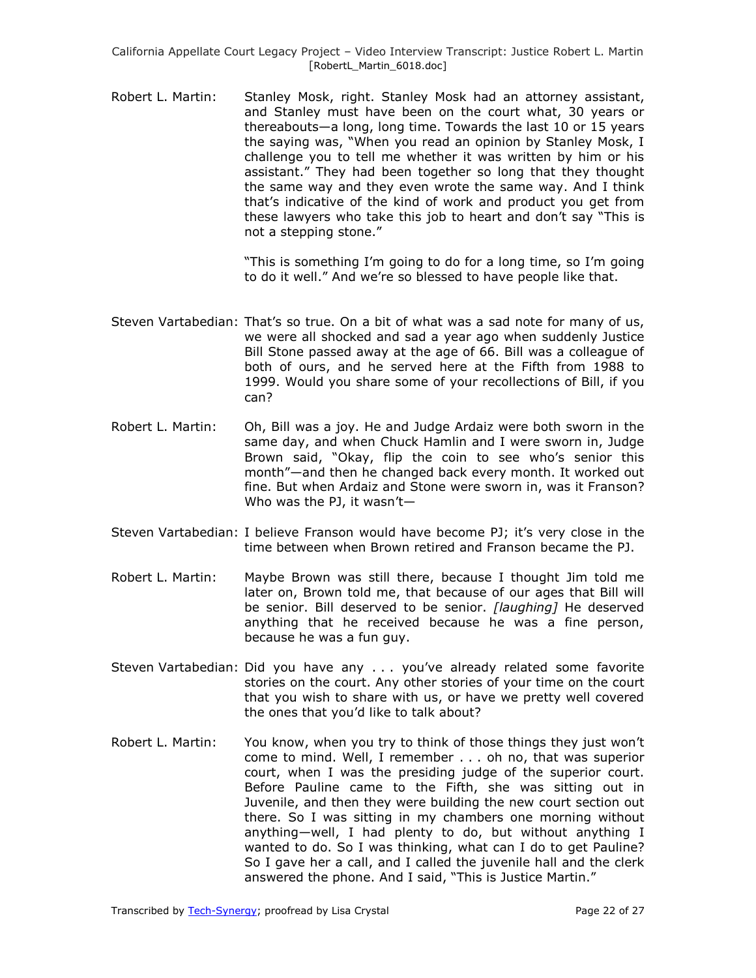Robert L. Martin: Stanley Mosk, right. Stanley Mosk had an attorney assistant, and Stanley must have been on the court what, 30 years or thereabouts—a long, long time. Towards the last 10 or 15 years the saying was, "When you read an opinion by Stanley Mosk, I challenge you to tell me whether it was written by him or his assistant." They had been together so long that they thought the same way and they even wrote the same way. And I think that's indicative of the kind of work and product you get from these lawyers who take this job to heart and don't say "This is not a stepping stone."

> "This is something I'm going to do for a long time, so I'm going to do it well." And we're so blessed to have people like that.

- Steven Vartabedian: That's so true. On a bit of what was a sad note for many of us, we were all shocked and sad a year ago when suddenly Justice Bill Stone passed away at the age of 66. Bill was a colleague of both of ours, and he served here at the Fifth from 1988 to 1999. Would you share some of your recollections of Bill, if you can?
- Robert L. Martin: Oh, Bill was a joy. He and Judge Ardaiz were both sworn in the same day, and when Chuck Hamlin and I were sworn in, Judge Brown said, "Okay, flip the coin to see who's senior this month"—and then he changed back every month. It worked out fine. But when Ardaiz and Stone were sworn in, was it Franson? Who was the PJ, it wasn't—
- Steven Vartabedian: I believe Franson would have become PJ; it's very close in the time between when Brown retired and Franson became the PJ.
- Robert L. Martin: Maybe Brown was still there, because I thought Jim told me later on, Brown told me, that because of our ages that Bill will be senior. Bill deserved to be senior. *[laughing]* He deserved anything that he received because he was a fine person, because he was a fun guy.
- Steven Vartabedian: Did you have any . . . you've already related some favorite stories on the court. Any other stories of your time on the court that you wish to share with us, or have we pretty well covered the ones that you'd like to talk about?
- Robert L. Martin: You know, when you try to think of those things they just won't come to mind. Well, I remember . . . oh no, that was superior court, when I was the presiding judge of the superior court. Before Pauline came to the Fifth, she was sitting out in Juvenile, and then they were building the new court section out there. So I was sitting in my chambers one morning without anything—well, I had plenty to do, but without anything I wanted to do. So I was thinking, what can I do to get Pauline? So I gave her a call, and I called the juvenile hall and the clerk answered the phone. And I said, "This is Justice Martin."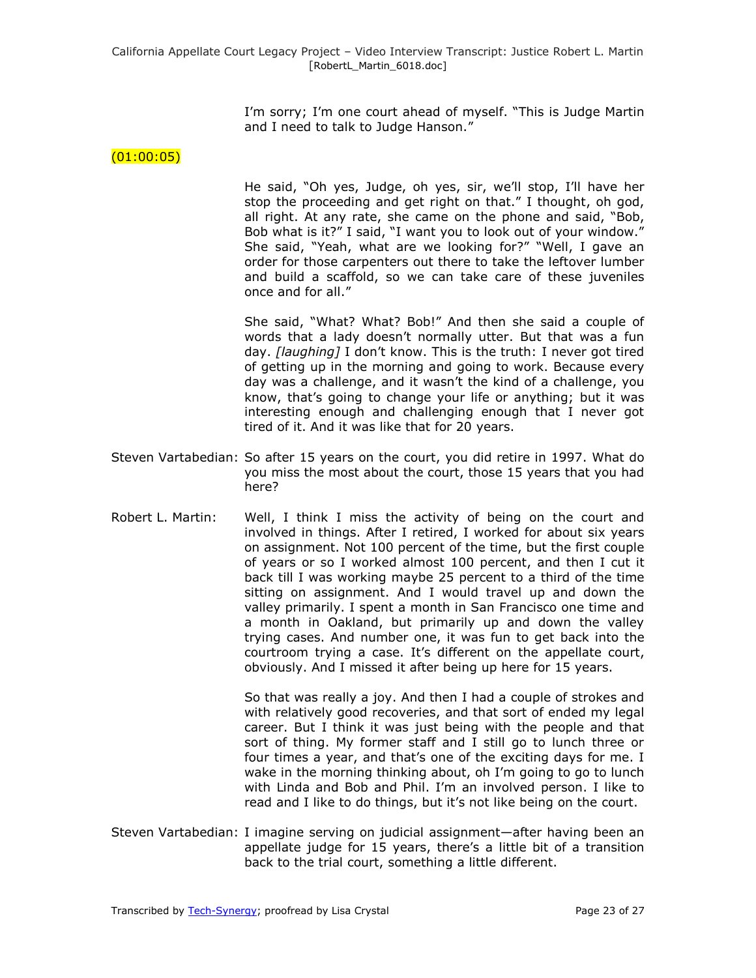I'm sorry; I'm one court ahead of myself. "This is Judge Martin and I need to talk to Judge Hanson."

## $(01:00:05)$

He said, "Oh yes, Judge, oh yes, sir, we'll stop, I'll have her stop the proceeding and get right on that." I thought, oh god, all right. At any rate, she came on the phone and said, "Bob, Bob what is it?" I said, "I want you to look out of your window." She said, "Yeah, what are we looking for?" "Well, I gave an order for those carpenters out there to take the leftover lumber and build a scaffold, so we can take care of these juveniles once and for all."

She said, "What? What? Bob!" And then she said a couple of words that a lady doesn't normally utter. But that was a fun day. *[laughing]* I don't know. This is the truth: I never got tired of getting up in the morning and going to work. Because every day was a challenge, and it wasn't the kind of a challenge, you know, that's going to change your life or anything; but it was interesting enough and challenging enough that I never got tired of it. And it was like that for 20 years.

- Steven Vartabedian: So after 15 years on the court, you did retire in 1997. What do you miss the most about the court, those 15 years that you had here?
- Robert L. Martin: Well, I think I miss the activity of being on the court and involved in things. After I retired, I worked for about six years on assignment. Not 100 percent of the time, but the first couple of years or so I worked almost 100 percent, and then I cut it back till I was working maybe 25 percent to a third of the time sitting on assignment. And I would travel up and down the valley primarily. I spent a month in San Francisco one time and a month in Oakland, but primarily up and down the valley trying cases. And number one, it was fun to get back into the courtroom trying a case. It's different on the appellate court, obviously. And I missed it after being up here for 15 years.

So that was really a joy. And then I had a couple of strokes and with relatively good recoveries, and that sort of ended my legal career. But I think it was just being with the people and that sort of thing. My former staff and I still go to lunch three or four times a year, and that's one of the exciting days for me. I wake in the morning thinking about, oh I'm going to go to lunch with Linda and Bob and Phil. I'm an involved person. I like to read and I like to do things, but it's not like being on the court.

Steven Vartabedian: I imagine serving on judicial assignment—after having been an appellate judge for 15 years, there's a little bit of a transition back to the trial court, something a little different.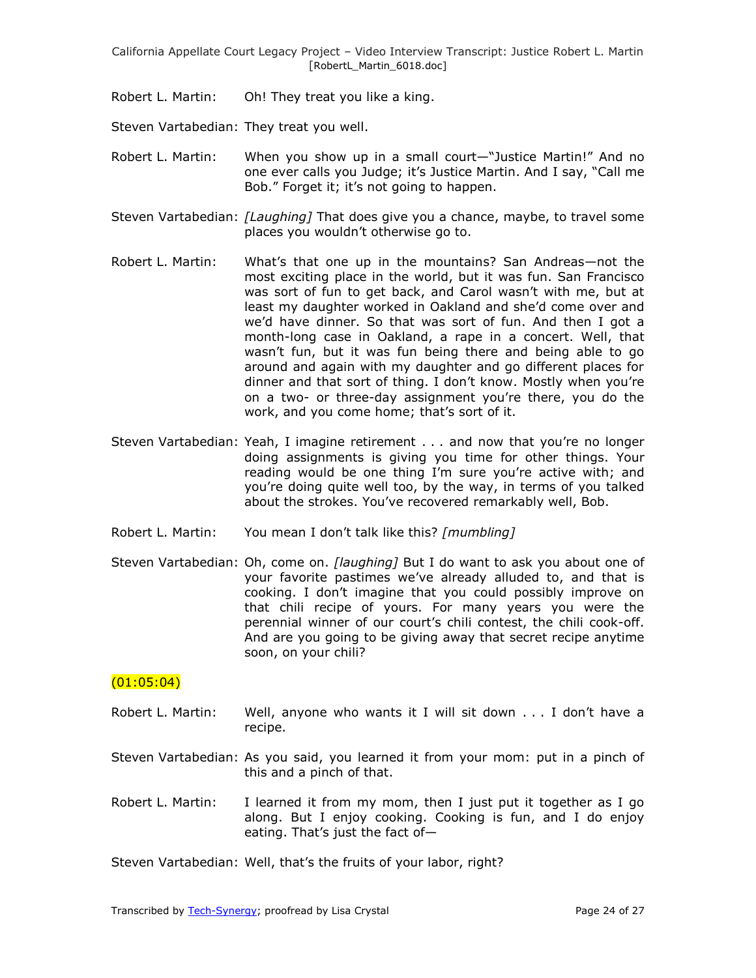Robert L. Martin: Oh! They treat you like a king.

Steven Vartabedian: They treat you well.

- Robert L. Martin: When you show up in a small court—"Justice Martin!" And no one ever calls you Judge; it's Justice Martin. And I say, "Call me Bob." Forget it; it's not going to happen.
- Steven Vartabedian: *[Laughing]* That does give you a chance, maybe, to travel some places you wouldn't otherwise go to.
- Robert L. Martin: What's that one up in the mountains? San Andreas—not the most exciting place in the world, but it was fun. San Francisco was sort of fun to get back, and Carol wasn't with me, but at least my daughter worked in Oakland and she'd come over and we'd have dinner. So that was sort of fun. And then I got a month-long case in Oakland, a rape in a concert. Well, that wasn't fun, but it was fun being there and being able to go around and again with my daughter and go different places for dinner and that sort of thing. I don't know. Mostly when you're on a two- or three-day assignment you're there, you do the work, and you come home; that's sort of it.
- Steven Vartabedian: Yeah, I imagine retirement . . . and now that you're no longer doing assignments is giving you time for other things. Your reading would be one thing I'm sure you're active with; and you're doing quite well too, by the way, in terms of you talked about the strokes. You've recovered remarkably well, Bob.
- Robert L. Martin: You mean I don't talk like this? *[mumbling]*
- Steven Vartabedian: Oh, come on. *[laughing]* But I do want to ask you about one of your favorite pastimes we've already alluded to, and that is cooking. I don't imagine that you could possibly improve on that chili recipe of yours. For many years you were the perennial winner of our court's chili contest, the chili cook-off. And are you going to be giving away that secret recipe anytime soon, on your chili?

### $(01:05:04)$

- Robert L. Martin: Well, anyone who wants it I will sit down . . . I don't have a recipe.
- Steven Vartabedian: As you said, you learned it from your mom: put in a pinch of this and a pinch of that.
- Robert L. Martin: I learned it from my mom, then I just put it together as I go along. But I enjoy cooking. Cooking is fun, and I do enjoy eating. That's just the fact of—

Steven Vartabedian: Well, that's the fruits of your labor, right?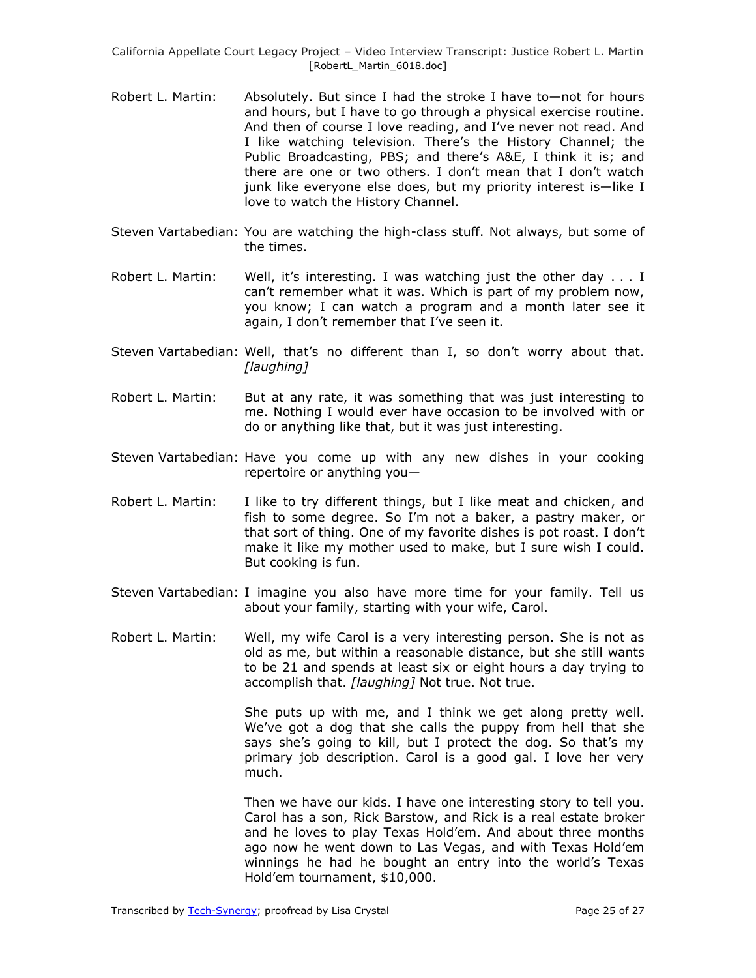- Robert L. Martin: Absolutely. But since I had the stroke I have to—not for hours and hours, but I have to go through a physical exercise routine. And then of course I love reading, and I've never not read. And I like watching television. There's the History Channel; the Public Broadcasting, PBS; and there's A&E, I think it is; and there are one or two others. I don't mean that I don't watch junk like everyone else does, but my priority interest is—like I love to watch the History Channel.
- Steven Vartabedian: You are watching the high-class stuff. Not always, but some of the times.
- Robert L. Martin: Well, it's interesting. I was watching just the other day  $\dots$  I can't remember what it was. Which is part of my problem now, you know; I can watch a program and a month later see it again, I don't remember that I've seen it.
- Steven Vartabedian: Well, that's no different than I, so don't worry about that. *[laughing]*
- Robert L. Martin: But at any rate, it was something that was just interesting to me. Nothing I would ever have occasion to be involved with or do or anything like that, but it was just interesting.
- Steven Vartabedian: Have you come up with any new dishes in your cooking repertoire or anything you—
- Robert L. Martin: I like to try different things, but I like meat and chicken, and fish to some degree. So I'm not a baker, a pastry maker, or that sort of thing. One of my favorite dishes is pot roast. I don't make it like my mother used to make, but I sure wish I could. But cooking is fun.
- Steven Vartabedian: I imagine you also have more time for your family. Tell us about your family, starting with your wife, Carol.
- Robert L. Martin: Well, my wife Carol is a very interesting person. She is not as old as me, but within a reasonable distance, but she still wants to be 21 and spends at least six or eight hours a day trying to accomplish that. *[laughing]* Not true. Not true.

She puts up with me, and I think we get along pretty well. We've got a dog that she calls the puppy from hell that she says she's going to kill, but I protect the dog. So that's my primary job description. Carol is a good gal. I love her very much.

Then we have our kids. I have one interesting story to tell you. Carol has a son, Rick Barstow, and Rick is a real estate broker and he loves to play Texas Hold'em. And about three months ago now he went down to Las Vegas, and with Texas Hold'em winnings he had he bought an entry into the world's Texas Hold'em tournament, \$10,000.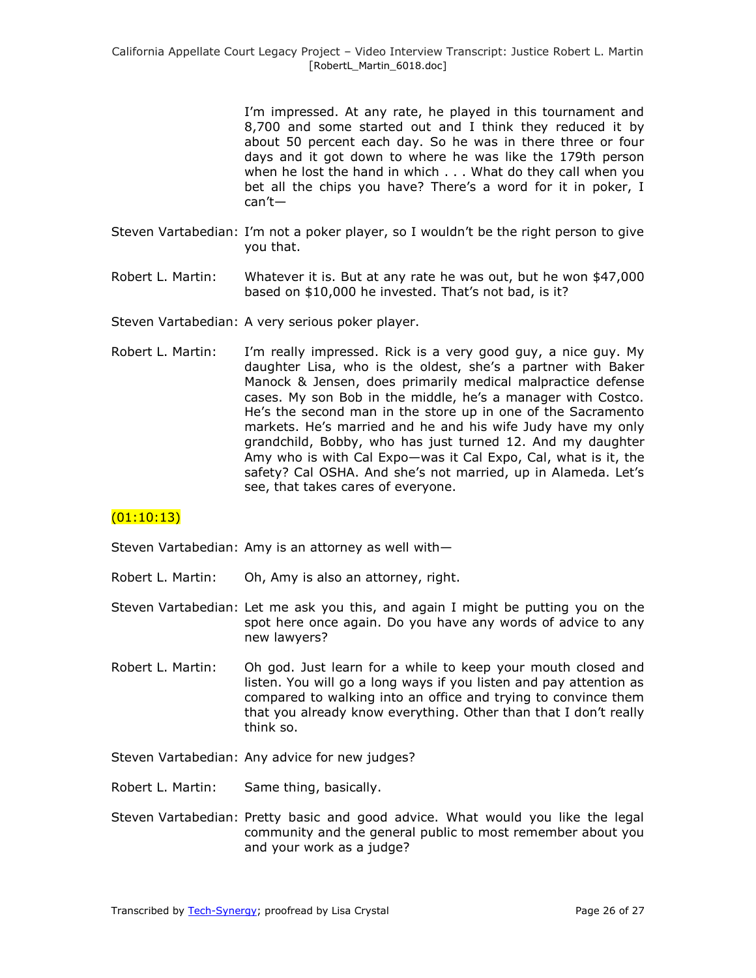I'm impressed. At any rate, he played in this tournament and 8,700 and some started out and I think they reduced it by about 50 percent each day. So he was in there three or four days and it got down to where he was like the 179th person when he lost the hand in which . . . What do they call when you bet all the chips you have? There's a word for it in poker, I can't—

- Steven Vartabedian: I'm not a poker player, so I wouldn't be the right person to give you that.
- Robert L. Martin: Whatever it is. But at any rate he was out, but he won \$47,000 based on \$10,000 he invested. That's not bad, is it?
- Steven Vartabedian: A very serious poker player.
- Robert L. Martin: I'm really impressed. Rick is a very good guy, a nice guy. My daughter Lisa, who is the oldest, she's a partner with Baker Manock & Jensen, does primarily medical malpractice defense cases. My son Bob in the middle, he's a manager with Costco. He's the second man in the store up in one of the Sacramento markets. He's married and he and his wife Judy have my only grandchild, Bobby, who has just turned 12. And my daughter Amy who is with Cal Expo—was it Cal Expo, Cal, what is it, the safety? Cal OSHA. And she's not married, up in Alameda. Let's see, that takes cares of everyone.

# $(01:10:13)$

Steven Vartabedian: Amy is an attorney as well with—

- Robert L. Martin: Oh, Amy is also an attorney, right.
- Steven Vartabedian: Let me ask you this, and again I might be putting you on the spot here once again. Do you have any words of advice to any new lawyers?
- Robert L. Martin: Oh god. Just learn for a while to keep your mouth closed and listen. You will go a long ways if you listen and pay attention as compared to walking into an office and trying to convince them that you already know everything. Other than that I don't really think so.

Steven Vartabedian: Any advice for new judges?

- Robert L. Martin: Same thing, basically.
- Steven Vartabedian: Pretty basic and good advice. What would you like the legal community and the general public to most remember about you and your work as a judge?